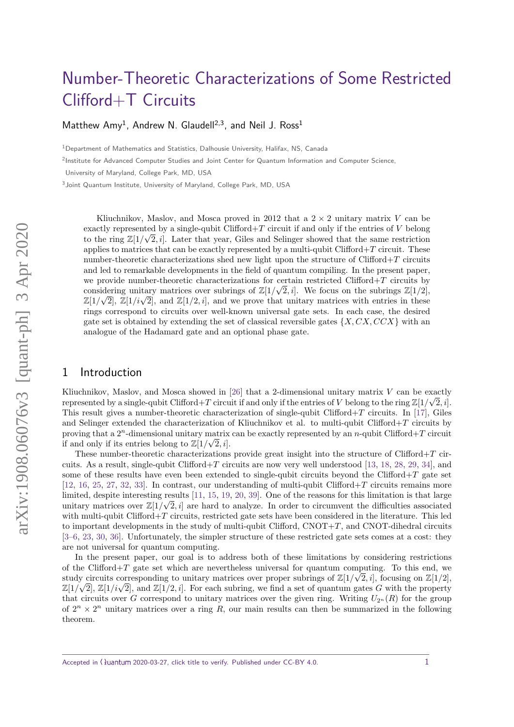# [Number-Theoretic Characterizations of Some Restricted](https://quantum-journal.org/?s=Number-Theoretic%20Characterizations%20of%20Some%20Restricted%20Clifford+T%20Circuits&reason=title-click) [Clifford+T Circuits](https://quantum-journal.org/?s=Number-Theoretic%20Characterizations%20of%20Some%20Restricted%20Clifford+T%20Circuits&reason=title-click)

[Matthew Amy](https://orcid.org/0000-0003-3514-420X)<sup>1</sup>, Andrew N. Glaudell<sup>2,3</sup>, and [Neil J. Ross](https://orcid.org/0000-0003-0941-4333)<sup>1</sup>

<sup>1</sup>Department of Mathematics and Statistics, Dalhousie University, Halifax, NS, Canada

<sup>2</sup>Institute for Advanced Computer Studies and Joint Center for Quantum Information and Computer Science,

University of Maryland, College Park, MD, USA

<sup>3</sup> Joint Quantum Institute, University of Maryland, College Park, MD, USA

Kliuchnikov, Maslov, and Mosca proved in 2012 that a  $2 \times 2$  unitary matrix *V* can be exactly represented by a single-qubit Clifford+*T* circuit if and only if the entries of *V* belong to the ring  $\mathbb{Z}[1/\sqrt{2},i]$ . Later that year, Giles and Selinger showed that the same restriction applies to matrices that can be exactly represented by a multi-qubit Clifford+*T* circuit. These number-theoretic characterizations shed new light upon the structure of Clifford+*T* circuits and led to remarkable developments in the field of quantum compiling. In the present paper, we provide number-theoretic characterizations for certain restricted Clifford+*T* circuits by considering unitary matrices over subrings of  $\mathbb{Z}[1/\sqrt{2},i]$ . We focus on the subrings  $\mathbb{Z}[1/2]$ , considering unitary matrices over subrings of  $\mathbb{Z}[1/\sqrt{2},i]$ . We focus on the subrings  $\mathbb{Z}[1/\sqrt{2}]$ ,  $\mathbb{Z}[1/i\sqrt{2}]$ , and  $\mathbb{Z}[1/2,i]$ , and we prove that unitary matrices with entries in these rings correspond to circuits over well-known universal gate sets. In each case, the desired gate set is obtained by extending the set of classical reversible gates  $\{X, CX, CCX\}$  with an analogue of the Hadamard gate and an optional phase gate.

## 1 Introduction

Kliuchnikov, Maslov, and Mosca showed in [\[26\]](#page-17-0) that a 2-dimensional unitary matrix *V* can be exactly represented by a single-qubit Clifford+*T* circuit if and only if the entries of *V* belong to the ring  $\mathbb{Z}[1/\sqrt{2},i]$ . This result gives a number-theoretic characterization of single-qubit Clifford+*T* circuits. In [\[17\]](#page-17-1), Giles and Selinger extended the characterization of Kliuchnikov et al. to multi-qubit Clifford+*T* circuits by proving that a  $2^n$ -dimensional unitary matrix can be exactly represented by an *n*-qubit Clifford+*T* circuit if and only if its entries belong to  $\mathbb{Z}[1/\sqrt{2},i].$ 

These number-theoretic characterizations provide great insight into the structure of Clifford+*T* circuits. As a result, single-qubit Clifford+*T* circuits are now very well understood [\[13,](#page-17-2) [18,](#page-17-3) [28,](#page-17-4) [29,](#page-17-5) [34\]](#page-18-0), and some of these results have even been extended to single-qubit circuits beyond the Clifford+*T* gate set [\[12,](#page-16-0) [16,](#page-17-6) [25,](#page-17-7) [27,](#page-17-8) [32,](#page-17-9) [33\]](#page-17-10). In contrast, our understanding of multi-qubit Clifford+*T* circuits remains more limited, despite interesting results  $[11, 15, 19, 20, 39]$  $[11, 15, 19, 20, 39]$  $[11, 15, 19, 20, 39]$  $[11, 15, 19, 20, 39]$  $[11, 15, 19, 20, 39]$  $[11, 15, 19, 20, 39]$  $[11, 15, 19, 20, 39]$  $[11, 15, 19, 20, 39]$  $[11, 15, 19, 20, 39]$ . One of the reasons for this limitation is that large unitary matrices over  $\mathbb{Z}[1/\sqrt{2},i]$  are hard to analyze. In order to circumvent the difficulties associated with multi-qubit Clifford+*T* circuits, restricted gate sets have been considered in the literature. This led to important developments in the study of multi-qubit Clifford, CNOT+*T*, and CNOT-dihedral circuits [\[3–](#page-16-2)[6,](#page-16-3) [23,](#page-17-14) [30,](#page-17-15) [36\]](#page-18-2). Unfortunately, the simpler structure of these restricted gate sets comes at a cost: they are not universal for quantum computing.

In the present paper, our goal is to address both of these limitations by considering restrictions of the Clifford+*T* gate set which are nevertheless universal for quantum computing. To this end, we study circuits corresponding to unitary matrices over proper subrings of  $\mathbb{Z}[1/\sqrt{2},i]$ , focusing on  $\mathbb{Z}[1/2]$ , study circuits corresponding to unitary matrices over proper subrings or  $\mathbb{Z}[1/\sqrt{2},i]$ , focusing on  $\mathbb{Z}[1/\sqrt{2}]$ ,  $\mathbb{Z}[1/i\sqrt{2}]$ , and  $\mathbb{Z}[1/2,i]$ . For each subring, we find a set of quantum gates *G* with the prop that circuits over *G* correspond to unitary matrices over the given ring. Writing  $U_{2^n}(R)$  for the group of  $2^n \times 2^n$  unitary matrices over a ring R, our main results can then be summarized in the following theorem.

Accepted in  $\langle \Omega \rangle$ uantum 2020-03-27, click title to verify. Published under CC-BY 4.0. 1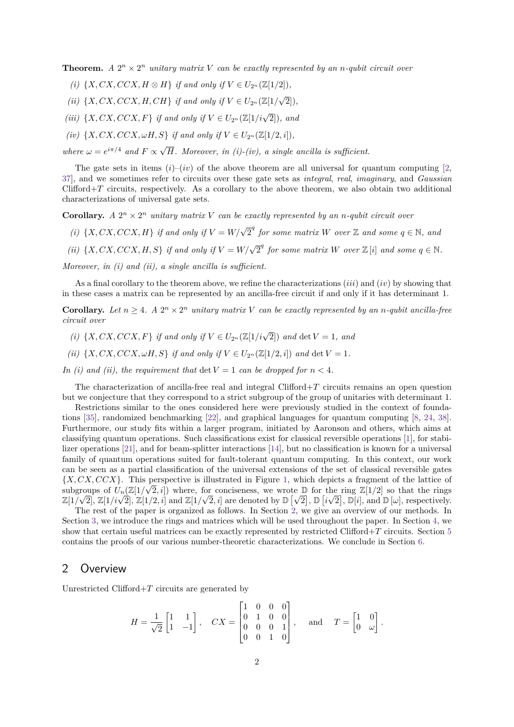**Theorem.** *A*  $2^n \times 2^n$  *unitary matrix V can be exactly represented by an <i>n*-qubit circuit over

- *(i)*  $\{X, CX, CCX, H \otimes H\}$  *if and only if*  $V \in U_{2^n}(\mathbb{Z}[1/2])$ *,*
- *(ii)*  $\{X, CX, CCX, H, CH\}$  *if and only if*  $V \in U_{2^n}(\mathbb{Z}[1/\sqrt{2^n}])$ 2])*,*
- *(iii)*  $\{X, CX, CCX, F\}$  *if and only if*  $V \in U_{2^n}(\mathbb{Z}[1/i\sqrt{2}])$ *, and*
- *(iv)*  $\{X, CX, CCX, \omega H, S\}$  *if and only if*  $V \in U_{2^n}(\mathbb{Z}[1/2, i]),$

*where*  $\omega = e^{i\pi/4}$  *and*  $F \propto \sqrt{ }$ *H. Moreover, in (i)-(iv), a single ancilla is sufficient.*

The gate sets in items  $(i)-(iv)$  of the above theorem are all universal for quantum computing [\[2,](#page-16-4) [37\]](#page-18-3), and we sometimes refer to circuits over these gate sets as integral, real, imaginary, and Gaussian Clifford+*T* circuits, respectively. As a corollary to the above theorem, we also obtain two additional characterizations of universal gate sets.

**Corollary.** *A*  $2^n \times 2^n$  *unitary matrix V can be exactly represented by an <i>n*-qubit circuit over

- *(i)*  $\{X, CX, CCX, H\}$  *if and only if*  $V = W/\sqrt{2}^q$  *for some matrix W over* Z *and some*  $q \in \mathbb{N}$ *, and*
- *(ii)*  $\{X, CX, CCX, H, S\}$  *if and only if*  $V = W/\sqrt{2}^q$  *for some matrix W over*  $\mathbb{Z}[i]$  *and some*  $q \in \mathbb{N}$ *.*

*Moreover, in (i) and (ii), a single ancilla is sufficient.*

As a final corollary to the theorem above, we refine the characterizations (*iii*) and (*iv*) by showing that in these cases a matrix can be represented by an ancilla-free circuit if and only if it has determinant 1.

**Corollary.** Let  $n \geq 4$ . A  $2^n \times 2^n$  unitary matrix V can be exactly represented by an *n*-qubit ancilla-free *circuit over*

- *(i)*  $\{X, CX, CCX, F\}$  *if and only if*  $V \in U_{2^n}(\mathbb{Z}[1/i\sqrt{2}])$  *and* det  $V = 1$ *, and*
- *(ii)*  $\{X, CX, CCX, \omega H, S\}$  *if and only if*  $V \in U_{2^n}(\mathbb{Z}[1/2, i])$  *and* det  $V = 1$ *.*
- *In (i) and (ii), the requirement that* det  $V = 1$  *can be dropped for*  $n < 4$ *.*

The characterization of ancilla-free real and integral Clifford+*T* circuits remains an open question but we conjecture that they correspond to a strict subgroup of the group of unitaries with determinant 1.

Restrictions similar to the ones considered here were previously studied in the context of foundations [\[35\]](#page-18-4), randomized benchmarking [\[22\]](#page-17-16), and graphical languages for quantum computing [\[8,](#page-16-5) [24,](#page-17-17) [38\]](#page-18-5). Furthermore, our study fits within a larger program, initiated by Aaronson and others, which aims at classifying quantum operations. Such classifications exist for classical reversible operations [\[1\]](#page-16-6), for stabilizer operations [\[21\]](#page-17-18), and for beam-splitter interactions [\[14\]](#page-17-19), but no classification is known for a universal family of quantum operations suited for fault-tolerant quantum computing. In this context, our work can be seen as a partial classification of the universal extensions of the set of classical reversible gates  ${X, CX, CCX}$ . This perspective is illustrated in Figure [1,](#page-2-0) which depicts a fragment of the lattice of subgroups of  $U_n(\mathbb{Z}[1/\sqrt{2},i])$  where, for conciseness, we wrote  $\mathbb{D}$  for the ring  $\mathbb{Z}[1/2]$  so that the rings subgroups or  $U_n(\mathbb{Z}[1/\sqrt{2},i])$  where, for conciseness, we wrote  $\mathbb{D}$  for the ring  $\mathbb{Z}[1/\sqrt{2}]$  so that the rings  $\mathbb{Z}[1/\sqrt{2}]$ ,  $\mathbb{Z}[1/i\sqrt{2}]$ ,  $\mathbb{Z}[1/i\sqrt{2}]$ ,  $\mathbb{Z}[1/i\sqrt{2}]$ ,  $\mathbb{Z}[1/i\sqrt{2}]$ ,  $\mathbb{Z}[1/i\sqrt{2}]$ ,

The rest of the paper is organized as follows. In Section [2,](#page-1-0) we give an overview of our methods. In Section [3,](#page-3-0) we introduce the rings and matrices which will be used throughout the paper. In Section [4,](#page-5-0) we show that certain useful matrices can be exactly represented by restricted Clifford+*T* circuits. Section [5](#page-8-0) contains the proofs of our various number-theoretic characterizations. We conclude in Section [6.](#page-16-7)

## <span id="page-1-0"></span>2 Overview

Unrestricted Clifford+*T* circuits are generated by

$$
H = \frac{1}{\sqrt{2}} \begin{bmatrix} 1 & 1 \\ 1 & -1 \end{bmatrix}, \quad CX = \begin{bmatrix} 1 & 0 & 0 & 0 \\ 0 & 1 & 0 & 0 \\ 0 & 0 & 0 & 1 \\ 0 & 0 & 1 & 0 \end{bmatrix}, \quad \text{and} \quad T = \begin{bmatrix} 1 & 0 \\ 0 & \omega \end{bmatrix}.
$$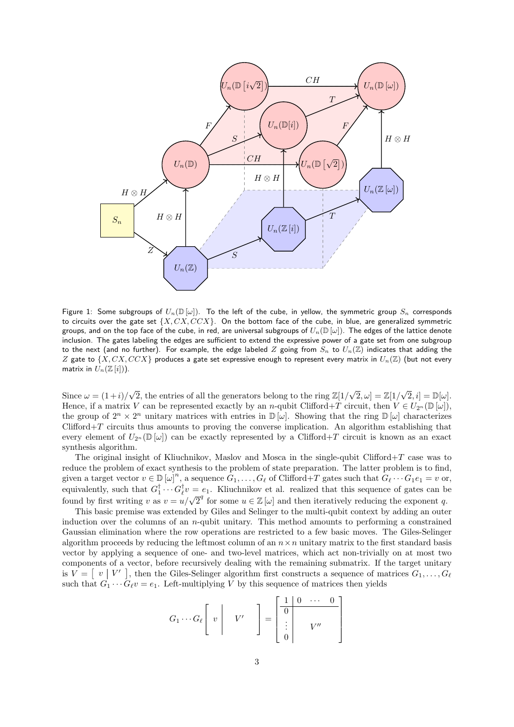<span id="page-2-0"></span>

Figure 1: Some subgroups of  $U_n(\mathbb{D}[\omega])$ . To the left of the cube, in yellow, the symmetric group  $S_n$  corresponds to circuits over the gate set  $\{X, CX, CCX\}$ . On the bottom face of the cube, in blue, are generalized symmetric groups, and on the top face of the cube, in red, are universal subgroups of  $U_n(\mathbb{D}[\omega])$ . The edges of the lattice denote inclusion. The gates labeling the edges are sufficient to extend the expressive power of a gate set from one subgroup to the next (and no further). For example, the edge labeled *Z* going from *S<sup>n</sup>* to *Un*(Z) indicates that adding the *Z* gate to {*X, CX, CCX*} produces a gate set expressive enough to represent every matrix in *Un*(Z) (but not every matrix in  $U_n(\mathbb{Z}[i])$ ).

Since  $\omega = (1+i)$  $\sqrt{2}$ , the entries of all the generators belong to the ring  $\mathbb{Z}[1/\sqrt{2}, \omega] = \mathbb{Z}[1/\sqrt{2}, i] = \mathbb{D}[\omega]$ . Hence, if a matrix *V* can be represented exactly by an *n*-qubit Clifford+*T* circuit, then  $V \in U_{2n}(\mathbb{D}[\omega])$ , the group of  $2^n \times 2^n$  unitary matrices with entries in  $\mathbb{D}[\omega]$ . Showing that the ring  $\mathbb{D}[\omega]$  characterizes Clifford+*T* circuits thus amounts to proving the converse implication. An algorithm establishing that every element of  $U_{2^n}(\mathbb{D}[\omega])$  can be exactly represented by a Clifford+*T* circuit is known as an exact synthesis algorithm.

The original insight of Kliuchnikov, Maslov and Mosca in the single-qubit Clifford+*T* case was to reduce the problem of exact synthesis to the problem of state preparation. The latter problem is to find, given a target vector  $v \in D[\omega]^n$ , a sequence  $G_1, \ldots, G_\ell$  of Clifford+*T* gates such that  $G_\ell \cdots G_1 e_1 = v$  or, equivalently, such that  $G_1^{\dagger} \cdots G_\ell^{\dagger} v = e_1$ . Kliuchnikov et al. realized that this sequence of gates can be found by first writing *v* as  $v = u/\sqrt{2}^q$  for some  $u \in \mathbb{Z}[\omega]$  and then iteratively reducing the exponent *q*.

This basic premise was extended by Giles and Selinger to the multi-qubit context by adding an outer induction over the columns of an *n*-qubit unitary. This method amounts to performing a constrained Gaussian elimination where the row operations are restricted to a few basic moves. The Giles-Selinger algorithm proceeds by reducing the leftmost column of an  $n \times n$  unitary matrix to the first standard basis vector by applying a sequence of one- and two-level matrices, which act non-trivially on at most two components of a vector, before recursively dealing with the remaining submatrix. If the target unitary is  $V = \begin{bmatrix} v & V' \end{bmatrix}$ , then the Giles-Selinger algorithm first constructs a sequence of matrices  $G_1, \ldots, G_\ell$ such that  $G_1 \cdots G_\ell v = e_1$ . Left-multiplying *V* by this sequence of matrices then yields

$$
G_1 \cdots G_\ell \left[ \begin{array}{c} v \\ v \end{array} \right] \quad V' \quad \left] = \begin{bmatrix} \begin{array}{c} 1 & 0 & \cdots & 0 \\ \hline 0 & & \\ \vdots & & V'' \\ 0 & & \end{array} \right]
$$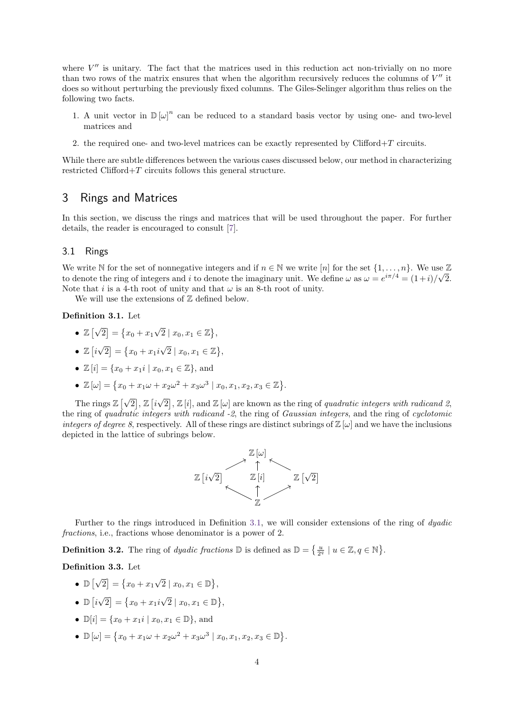where  $V''$  is unitary. The fact that the matrices used in this reduction act non-trivially on no more than two rows of the matrix ensures that when the algorithm recursively reduces the columns of  $V''$  it does so without perturbing the previously fixed columns. The Giles-Selinger algorithm thus relies on the following two facts.

- 1. A unit vector in  $\mathbb{D}[\omega]^n$  can be reduced to a standard basis vector by using one- and two-level matrices and
- 2. the required one- and two-level matrices can be exactly represented by Clifford+*T* circuits.

While there are subtle differences between the various cases discussed below, our method in characterizing restricted Clifford+*T* circuits follows this general structure.

## <span id="page-3-0"></span>3 Rings and Matrices

In this section, we discuss the rings and matrices that will be used throughout the paper. For further details, the reader is encouraged to consult [\[7\]](#page-16-8).

### 3.1 Rings

We write  $\mathbb N$  for the set of nonnegative integers and if  $n \in \mathbb N$  we write  $[n]$  for the set  $\{1, \ldots, n\}$ . We use  $\mathbb Z$ to denote the ring of integers and *i* to denote the imaginary unit. We define  $\omega$  as  $\omega = e^{i\pi/4} = (1+i)/\sqrt{2}$ . Note that *i* is a 4-th root of unity and that  $\omega$  is an 8-th root of unity.

We will use the extensions of  $Z$  defined below.

### <span id="page-3-1"></span>**Definition 3.1.** Let

- $\bullet$  Z  $\overline{\vee}$  $2 = \{x_0 + x_1\}$  $\sqrt{2} \mid x_0, x_1 \in \mathbb{Z} \},$
- $\bullet$   $\mathbb{Z}\left[ i\right]$ √  $2 = \{x_0 + x_1i\}$  $\sqrt{2} \mid x_0, x_1 \in \mathbb{Z} \},\$
- $\mathbb{Z}[i] = \{x_0 + x_1i \mid x_0, x_1 \in \mathbb{Z}\},\$  and
- $\mathbb{Z}[\omega] = \{x_0 + x_1\omega + x_2\omega^2 + x_3\omega^3 \mid x_0, x_1, x_2, x_3 \in \mathbb{Z}\}.$

The rings  $\mathbb{Z} \left[ \sqrt{\frac{1}{2}} \right]$  $\overline{2}$ ,  $\mathbb{Z}$   $\overline{i}$ √  $\boxed{2}$ ,  $\mathbb{Z}[i]$ , and  $\mathbb{Z}[\omega]$  are known as the ring of *quadratic integers with radicand 2*, the ring of quadratic integers with radicand -2, the ring of Gaussian integers, and the ring of cyclotomic integers of degree 8, respectively. All of these rings are distinct subrings of  $\mathbb{Z}[\omega]$  and we have the inclusions depicted in the lattice of subrings below.



Further to the rings introduced in Definition [3.1,](#page-3-1) we will consider extensions of the ring of *dyadic* fractions, i.e., fractions whose denominator is a power of 2.

**Definition 3.2.** The ring of *dyadic fractions*  $\mathbb{D}$  is defined as  $\mathbb{D} = \left\{ \frac{u}{2^q} \mid u \in \mathbb{Z}, q \in \mathbb{N} \right\}$ .

### **Definition 3.3.** Let

- $\bullet \mathbb{D} \left[\sqrt{\phantom{a}}\right]$  $2 = \{x_0 + x_1\}$  $\sqrt{2} \mid x_0, x_1 \in \mathbb{D} \},$
- $\bullet$   $\mathbb{D}$   $\lbrack i$ √  $2 = \{x_0 + x_1i\}$  $\sqrt{2} \mid x_0, x_1 \in \mathbb{D} \},\$
- $\mathbb{D}[i] = \{x_0 + x_1 i \mid x_0, x_1 \in \mathbb{D}\},\$  and
- $\mathbb{D}[\omega] = \{x_0 + x_1\omega + x_2\omega^2 + x_3\omega^3 \mid x_0, x_1, x_2, x_3 \in \mathbb{D}\}.$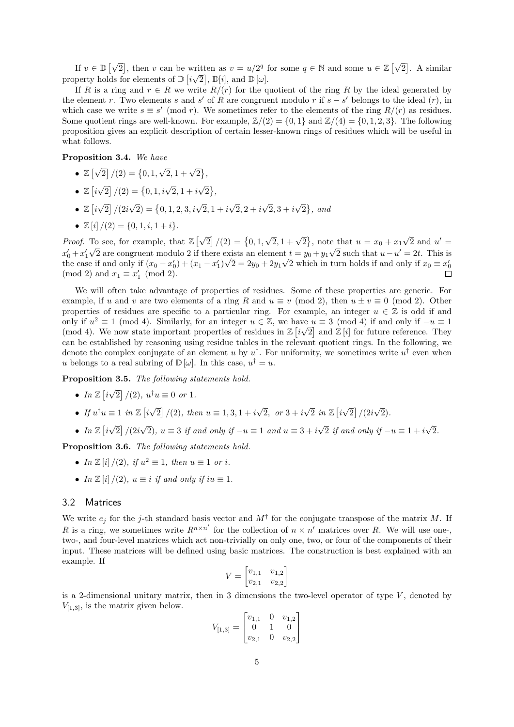If  $v \in \mathbb{D} \left[ \sqrt{\frac{\mu}{\sigma^2}} \right]$ 2, then *v* can be written as  $v = u/2^q$  for some  $q \in \mathbb{N}$  and some  $u \in \mathbb{Z} \setminus \mathbb{N}$ written as  $v = u/2^q$  for some  $q \in \mathbb{N}$  and some  $u \in \mathbb{Z}[\sqrt{2}]$ . A similar property holds for elements of  $\mathbb{D}\left[i\sqrt{2}\right], \mathbb{D}[i],$  and  $\mathbb{D}\left[\omega\right].$ 

If *R* is a ring and  $r \in R$  we write  $R/(r)$  for the quotient of the ring *R* by the ideal generated by the element *r*. Two elements *s* and *s*<sup>'</sup> of *R* are congruent modulo *r* if  $s - s'$  belongs to the ideal  $(r)$ , in which case we write  $s \equiv s' \pmod{r}$ . We sometimes refer to the elements of the ring  $R/(r)$  as residues. Some quotient rings are well-known. For example,  $\mathbb{Z}/(2) = \{0, 1\}$  and  $\mathbb{Z}/(4) = \{0, 1, 2, 3\}$ . The following proposition gives an explicit description of certain lesser-known rings of residues which will be useful in what follows.

**Proposition 3.4.** *We have*

- $\bullet$  Z  $\overline{\vee}$  $\boxed{2}$   $/(2) = \{0, 1, \}$  $\sqrt{2}, 1 + \sqrt{2}$ ,
- $\bullet \mathbb{Z}$ <sup>*i*</sup> √  $\boxed{2}$  /(2) = {0, 1, *i* $\sqrt{2}$ , 1 + *i* √ 2 *,*
- $\bullet$   $\mathbb{Z}\left[ i\right]$ √ 2 */*(2*i*  $\sqrt{2}$ ) = {0, 1, 2, 3*, i* $\sqrt{2}$ , 1 + *i* √  $2, 2 + i$ √  $2, 3 + i$ √  $\{2\}$ , and
- $\mathbb{Z}[i]/(2) = \{0, 1, i, 1 + i\}.$

*Proof.* To see, for example, that  $\mathbb{Z} \left[ \sqrt{\frac{1}{n}} \right]$  $\boxed{2}$   $/(2) = \{0, 1, \}$  $\sqrt{2}$ , 1 +  $\sqrt{2}$ , note that  $u = x_0 + x_1$ To see, for example, that  $\mathbb{Z}[\sqrt{2}]/(2) = \{0, 1, \sqrt{2}, 1 + \sqrt{2}\}\)$ , note that  $u = x_0 + x_1\sqrt{2}$  and  $u' = \sqrt{2}$  $x'_0 + x'_1 \sqrt{2}$  are congruent modulo 2 if there exists an element  $t = y_0 + y_1 \sqrt{2}$  such that  $u - u' = 2t$ . This is the case if and only if  $(x_0 - x'_0) + (x_1 - x'_1)\sqrt{2} = 2y_0 + 2y_1\sqrt{2}$  which in turn holds if and only if  $x_0 \equiv x'_0$ (mod 2) and  $x_1 \equiv x'_1 \pmod{2}$ .

We will often take advantage of properties of residues. Some of these properties are generic. For example, if *u* and *v* are two elements of a ring *R* and  $u \equiv v \pmod{2}$ , then  $u \pm v \equiv 0 \pmod{2}$ . Other properties of residues are specific to a particular ring. For example, an integer  $u \in \mathbb{Z}$  is odd if and only if  $u^2 \equiv 1 \pmod{4}$ . Similarly, for an integer  $u \in \mathbb{Z}$ , we have  $u \equiv 3 \pmod{4}$  if and only if  $-u \equiv 1$ (mod 4). We now state important properties of residues in  $\mathbb{Z}\left[i\sqrt{2}\right]$  and  $\mathbb{Z}\left[i\right]$  for future reference. They can be established by reasoning using residue tables in the relevant quotient rings. In the following, we denote the complex conjugate of an element *u* by  $u^{\dagger}$ . For uniformity, we sometimes write  $u^{\dagger}$  even when *u* belongs to a real subring of  $\mathbb{D}[\omega]$ . In this case,  $u^{\dagger} = u$ .

**Proposition 3.5.** *The following statements hold.*

- $In \mathbb{Z}$   $i$ √  $\overline{2}$  /(2),  $u^{\dagger}u \equiv 0$  *or* 1*.*
- *If*  $u^{\dagger}u \equiv 1$  *in*  $\mathbb{Z}$  [*i* √  $\boxed{2}$  /(2)*, then*  $u \equiv 1, 3, 1 + i$ √  $2, \text{ or } 3 + i$  $\sqrt{2}$  *in*  $\mathbb{Z}$   $i$ √ 2 */*(2*i* √ 2)*.*
- $In \mathbb{Z}$   $i$ √ 2 */*(2*i* √  $(2)$ *,*  $u \equiv 3$  *if and only if*  $-u \equiv 1$  *and*  $u \equiv 3 + i$ √  $\overline{2}$  *if and only if*  $-u \equiv 1 + i$ √ 2*.*

**Proposition 3.6.** *The following statements hold.*

- In  $\mathbb{Z}[i]/(2)$ , if  $u^2 \equiv 1$ , then  $u \equiv 1$  or *i*.
- *In*  $\mathbb{Z}[i]/(2)$ *,*  $u \equiv i$  *if and only if iu*  $\equiv 1$ *.*

### 3.2 Matrices

We write  $e_j$  for the *j*-th standard basis vector and  $M^{\dagger}$  for the conjugate transpose of the matrix *M*. If *R* is a ring, we sometimes write  $R^{n \times n'}$  for the collection of  $n \times n'$  matrices over *R*. We will use one-, two-, and four-level matrices which act non-trivially on only one, two, or four of the components of their input. These matrices will be defined using basic matrices. The construction is best explained with an example. If

$$
V = \begin{bmatrix} v_{1,1} & v_{1,2} \\ v_{2,1} & v_{2,2} \end{bmatrix}
$$

is a 2-dimensional unitary matrix, then in 3 dimensions the two-level operator of type *V* , denoted by *V*[1*,*3], is the matrix given below.

$$
V_{[1,3]} = \begin{bmatrix} v_{1,1} & 0 & v_{1,2} \\ 0 & 1 & 0 \\ v_{2,1} & 0 & v_{2,2} \end{bmatrix}
$$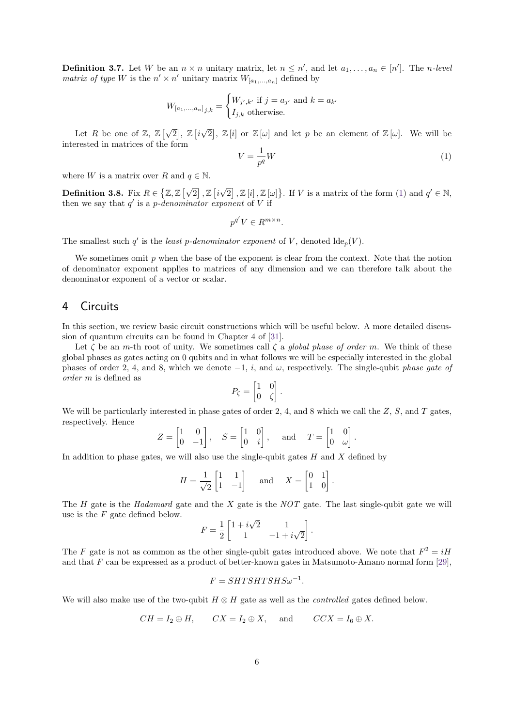**Definition 3.7.** Let *W* be an  $n \times n$  unitary matrix, let  $n \leq n'$ , and let  $a_1, \ldots, a_n \in [n']$ . The *n-level matrix of type W* is the  $n' \times n'$  unitary matrix  $W_{[a_1, ..., a_n]}$  defined by

$$
W_{[a_1,...,a_n]_{j,k}} = \begin{cases} W_{j',k'} & \text{if } j = a_{j'} \text{ and } k = a_{k'}\\ I_{j,k} & \text{otherwise.} \end{cases}
$$

Let *R* be one of  $\mathbb{Z}, \mathbb{Z}[\sqrt{\mathbb{Z}}]$  $\overline{2}$ ,  $\mathbb{Z}$   $\overline{i}$ √  $\overline{2}$ ,  $\mathbb{Z}[i]$  or  $\mathbb{Z}[\omega]$  and let *p* be an element of  $\mathbb{Z}[\omega]$ . We will be interested in matrices of the form

<span id="page-5-1"></span>
$$
V = \frac{1}{p^q}W\tag{1}
$$

*.*

where *W* is a matrix over *R* and  $q \in \mathbb{N}$ .

**Definition 3.8.** Fix  $R \in \{ \mathbb{Z}, \mathbb{Z} \mid \sqrt{2} \}$  $\overline{2}$ ,  $\mathbb{Z}$   $\overline{i}$ √  $\boxed{2}$ ,  $\boxed{Z}[i], \boxed{Z}[\omega]$ . If *V* is a matrix of the form [\(1\)](#page-5-1) and  $q' \in \mathbb{N}$ , then we say that  $q'$  is a *p*-denominator exponent of V if

$$
p^{q'}V \in R^{m \times n}.
$$

The smallest such  $q'$  is the *least p-denominator exponent* of *V*, denoted  $\text{Ide}_p(V)$ .

We sometimes omit p when the base of the exponent is clear from the context. Note that the notion of denominator exponent applies to matrices of any dimension and we can therefore talk about the denominator exponent of a vector or scalar.

## <span id="page-5-0"></span>4 Circuits

In this section, we review basic circuit constructions which will be useful below. A more detailed discussion of quantum circuits can be found in Chapter 4 of [\[31\]](#page-17-20).

Let  $\zeta$  be an *m*-th root of unity. We sometimes call  $\zeta$  a global phase of order *m*. We think of these global phases as gates acting on 0 qubits and in what follows we will be especially interested in the global phases of order 2, 4, and 8, which we denote  $-1$ , *i*, and  $\omega$ , respectively. The single-qubit phase gate of order *m* is defined as

$$
P_{\zeta} = \begin{bmatrix} 1 & 0 \\ 0 & \zeta \end{bmatrix}.
$$

We will be particularly interested in phase gates of order 2, 4, and 8 which we call the *Z*, *S*, and *T* gates, respectively. Hence

$$
Z = \begin{bmatrix} 1 & 0 \\ 0 & -1 \end{bmatrix}, \quad S = \begin{bmatrix} 1 & 0 \\ 0 & i \end{bmatrix}, \quad \text{and} \quad T = \begin{bmatrix} 1 & 0 \\ 0 & \omega \end{bmatrix}.
$$

In addition to phase gates, we will also use the single-qubit gates *H* and *X* defined by

$$
H = \frac{1}{\sqrt{2}} \begin{bmatrix} 1 & 1 \\ 1 & -1 \end{bmatrix} \quad \text{and} \quad X = \begin{bmatrix} 0 & 1 \\ 1 & 0 \end{bmatrix}
$$

The *H* gate is the Hadamard gate and the *X* gate is the NOT gate. The last single-qubit gate we will use is the *F* gate defined below. √

$$
F = \frac{1}{2} \begin{bmatrix} 1 + i\sqrt{2} & 1 \\ 1 & -1 + i\sqrt{2} \end{bmatrix}.
$$

The *F* gate is not as common as the other single-qubit gates introduced above. We note that  $F^2 = iH$ and that *F* can be expressed as a product of better-known gates in Matsumoto-Amano normal form [\[29\]](#page-17-5),

$$
F = SHTSHTSHS\omega^{-1}.
$$

We will also make use of the two-qubit *H* ⊗ *H* gate as well as the controlled gates defined below.

$$
CH = I_2 \oplus H
$$
,  $CX = I_2 \oplus X$ , and  $CCX = I_6 \oplus X$ .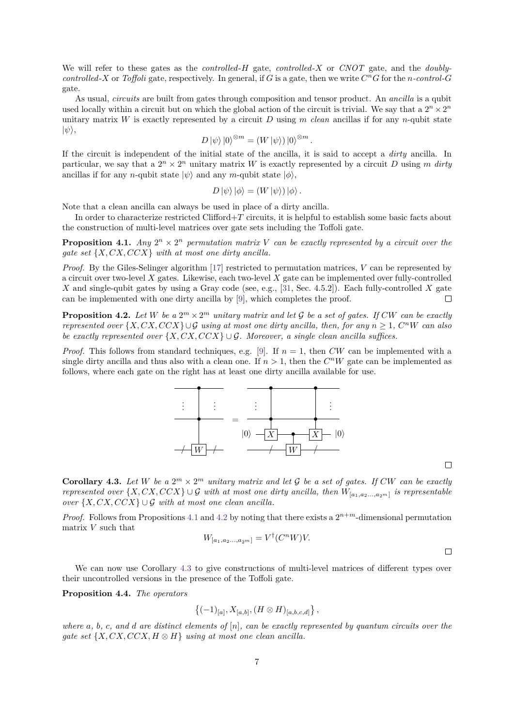We will refer to these gates as the controlled-*H* gate, controlled-*X* or CNOT gate, and the doublycontrolled-X or Toffoli gate, respectively. In general, if *G* is a gate, then we write  $C^nG$  for the *n*-control-*G* gate.

As usual, *circuits* are built from gates through composition and tensor product. An *ancilla* is a qubit used locally within a circuit but on which the global action of the circuit is trivial. We say that a  $2^n \times 2^n$ unitary matrix *W* is exactly represented by a circuit *D* using *m* clean ancillas if for any *n*-qubit state  $|\psi\rangle$ ,

$$
D|\psi\rangle|0\rangle^{\otimes m} = (W|\psi\rangle)|0\rangle^{\otimes m}.
$$

If the circuit is independent of the initial state of the ancilla, it is said to accept a dirty ancilla. In particular, we say that a  $2^n \times 2^n$  unitary matrix *W* is exactly represented by a circuit *D* using *m* dirty ancillas if for any *n*-qubit state  $|\psi\rangle$  and any *m*-qubit state  $|\phi\rangle$ ,

$$
D|\psi\rangle |\phi\rangle = (W|\psi\rangle)|\phi\rangle.
$$

Note that a clean ancilla can always be used in place of a dirty ancilla.

In order to characterize restricted Clifford+*T* circuits, it is helpful to establish some basic facts about the construction of multi-level matrices over gate sets including the Toffoli gate.

<span id="page-6-0"></span>**Proposition 4.1.** *Any*  $2^n \times 2^n$  *permutation matrix V can be exactly represented by a circuit over the gate set* {*X, CX, CCX*} *with at most one dirty ancilla.*

*Proof.* By the Giles-Selinger algorithm [\[17\]](#page-17-1) restricted to permutation matrices, *V* can be represented by a circuit over two-level *X* gates. Likewise, each two-level *X* gate can be implemented over fully-controlled *X* and single-qubit gates by using a Gray code (see, e.g., [\[31,](#page-17-20) Sec. 4.5.2]). Each fully-controlled *X* gate can be implemented with one dirty ancilla by [\[9\]](#page-16-9), which completes the proof.  $\Box$ 

<span id="page-6-1"></span>**Proposition 4.2.** Let W be a  $2^m \times 2^m$  unitary matrix and let G be a set of gates. If CW can be exactly *represented over*  $\{X, CX, CCX\} \cup \mathcal{G}$  *using at most one dirty ancilla, then, for any*  $n \geq 1$ ,  $C^nW$  *can also be exactly represented over*  $\{X, CX, CCX\} \cup \mathcal{G}$ *. Moreover, a single clean ancilla suffices.* 

*Proof.* This follows from standard techniques, e.g. [\[9\]](#page-16-9). If  $n = 1$ , then *CW* can be implemented with a single dirty ancilla and thus also with a clean one. If  $n > 1$ , then the  $C<sup>n</sup>W$  gate can be implemented as follows, where each gate on the right has at least one dirty ancilla available for use.



<span id="page-6-2"></span>**Corollary 4.3.** Let W be a  $2^m \times 2^m$  unitary matrix and let G be a set of gates. If CW can be exactly *represented over*  $\{X, CX, CCX\} \cup \mathcal{G}$  *with at most one dirty ancilla, then*  $W_{[a_1, a_2, \ldots, a_{2^m}]}$  *is representable over*  $\{X, CX, CCX\} \cup \mathcal{G}$  *with at most one clean ancilla.* 

*Proof.* Follows from Propositions [4.1](#page-6-0) and [4.2](#page-6-1) by noting that there exists a  $2^{n+m}$ -dimensional permutation matrix *V* such that

$$
W_{[a_1, a_2, \dots, a_{2^m}]} = V^{\dagger} (C^n W) V.
$$

We can now use Corollary [4.3](#page-6-2) to give constructions of multi-level matrices of different types over their uncontrolled versions in the presence of the Toffoli gate.

<span id="page-6-3"></span>**Proposition 4.4.** *The operators*

$$
\{(-1)_{[a]}, X_{[a,b]}, (H \otimes H)_{[a,b,c,d]}\},
$$

*where a, b, c, and d are distinct elements of* [*n*]*, can be exactly represented by quantum circuits over the gate set*  $\{X, CX, CCX, H \otimes H\}$  *using at most one clean ancilla.* 

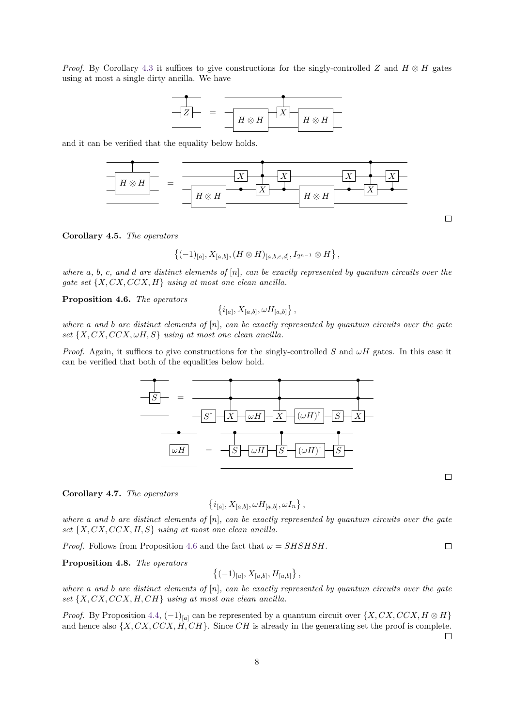*Proof.* By Corollary [4.3](#page-6-2) it suffices to give constructions for the singly-controlled *Z* and  $H \otimes H$  gates using at most a single dirty ancilla. We have



and it can be verified that the equality below holds.



<span id="page-7-1"></span>**Corollary 4.5.** *The operators*

$$
\{(-1)_{[a]}, X_{[a,b]}, (H \otimes H)_{[a,b,c,d]}, I_{2^{n-1}} \otimes H\},\
$$

*where a, b, c, and d are distinct elements of* [*n*]*, can be exactly represented by quantum circuits over the gate set* {*X, CX, CCX, H*} *using at most one clean ancilla.*

<span id="page-7-0"></span>**Proposition 4.6.** *The operators*

$$
\{i_{[a]}, X_{[a,b]}, \omega H_{[a,b]}\},\,
$$

*where a and b are distinct elements of* [*n*]*, can be exactly represented by quantum circuits over the gate set* {*X, CX, CCX, ωH, S*} *using at most one clean ancilla.*

*Proof.* Again, it suffices to give constructions for the singly-controlled *S* and  $\omega H$  gates. In this case it can be verified that both of the equalities below hold.



<span id="page-7-4"></span>**Corollary 4.7.** *The operators*

$$
\left\{i_{[a]}, X_{[a,b]}, \omega H_{[a,b]}, \omega I_n\right\},\
$$

*where a and b are distinct elements of* [*n*]*, can be exactly represented by quantum circuits over the gate set* {*X, CX, CCX, H, S*} *using at most one clean ancilla.*

*Proof.* Follows from Proposition [4.6](#page-7-0) and the fact that  $\omega = SHSHSH$ .

<span id="page-7-2"></span>**Proposition 4.8.** *The operators*

$$
\{(-1)_{[a]}, X_{[a,b]}, H_{[a,b]}\},\,
$$

*where a and b are distinct elements of* [*n*]*, can be exactly represented by quantum circuits over the gate set* {*X, CX, CCX, H, CH*} *using at most one clean ancilla.*

<span id="page-7-3"></span>*Proof.* By Proposition [4.4,](#page-6-3)  $(-1)_{[a]}$  can be represented by a quantum circuit over  $\{X, CX, CCX, H \otimes H\}$ and hence also {*X, CX, CCX, H, CH*}. Since *CH* is already in the generating set the proof is complete.

 $\Box$ 

 $\Box$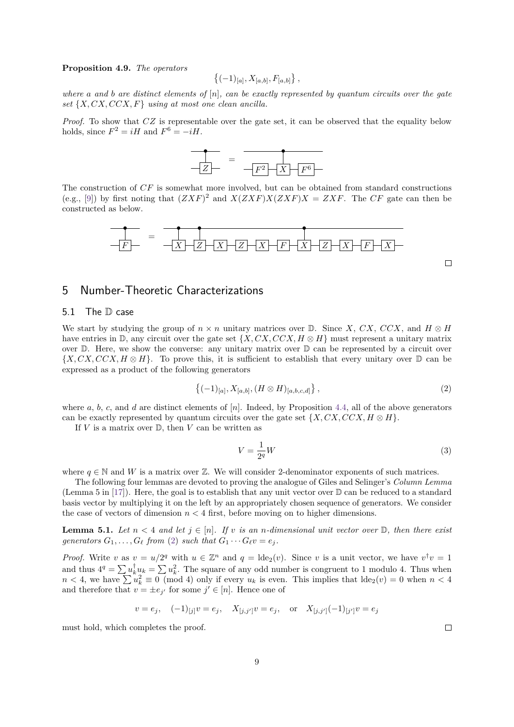**Proposition 4.9.** *The operators*

$$
\{(-1)_{[a]}, X_{[a,b]}, F_{[a,b]}\},\,
$$

*where a and b are distinct elements of* [*n*]*, can be exactly represented by quantum circuits over the gate set* {*X, CX, CCX, F*} *using at most one clean ancilla.*

*Proof.* To show that  $CZ$  is representable over the gate set, it can be observed that the equality below holds, since  $F^2 = iH$  and  $F^6 = -iH$ .

$$
\begin{array}{|c|c|c|c|}\n\hline\n\text{---} & = & \multicolumn{3}{|}{\text{---} & \text{---} & \text{---} \\
\hline\n\text{---} & & \text{---} & & \text{---} & \text{---} & \text{---} \\
\hline\n\text{---} & & & \text{---} & & \text{---} & \text{---} & \text{---} & \text{---} \\
\hline\n\text{---} & & & & \text{---} & & \text{---} & \text{---} & \text{---} & \text{---} & \text{---} & \text{---} & \text{---} & \text{---} & \text{---} & \text{---} & \text{---} & \text{---} & \text{---} & \text{---} & \text{---} & \text{---} & \text{---} & \text{---} & \text{---} & \text{---} & \text{---} & \text{---} & \text{---} & \text{---} & \text{---} & \text{---} & \text{---} & \text{---} & \text{---} & \text{---} & \text{---} & \text{---} & \text{---} & \text{---} & \text{---} & \text{---} & \text{---} & \text{---} & \text{---} & \text{---} & \text{---} & \text{---} & \text{---} & \text{---} & \text{---} & \text{---} & \text{---} & \text{---} & \text{---} & \text{---} & \text{---} & \text{---} & \text{---} & \text{---} & \text{---} & \text{---} & \text{---} & \text{---} & \text{---} & \text{---} & \text{---} & \text{---} & \text{---} & \text{---} & \text{---} & \text{---} & \text{---} & \text{---} & \text{---} & \text{---} & \text{---} & \text{---} & \text{---} & \text{---} & \text{---} & \text{---} & \text{---} & \text{---} & \text{---} & \text{---} & \text{---} & \text{---} & \text{---} & \text{---} & \text{---} & \text{---} & \text{---} & \text{---} & \text{---} & \text{---} & \text{---} & \text{---} & \text{---} & \text{---} & \text{---} & \text{---} & \text{---} & \text{---} & \text{---} & \text{---} & \text{---} &
$$

The construction of *CF* is somewhat more involved, but can be obtained from standard constructions (e.g., [\[9\]](#page-16-9)) by first noting that  $(ZXF)^2$  and  $X(ZXF)X(ZXF)X = ZXF$ . The *CF* gate can then be constructed as below.



## <span id="page-8-0"></span>5 Number-Theoretic Characterizations

### <span id="page-8-3"></span>5.1 The D case

We start by studying the group of  $n \times n$  unitary matrices over D. Since *X*, *CX*, *CCX*, and  $H \otimes H$ have entries in  $\mathbb{D}$ , any circuit over the gate set  $\{X, CX, CCX, H \otimes H\}$  must represent a unitary matrix over  $\mathbb D$ . Here, we show the converse: any unitary matrix over  $\mathbb D$  can be represented by a circuit over {*X, CX, CCX, H* ⊗ *H*}. To prove this, it is sufficient to establish that every unitary over D can be expressed as a product of the following generators

<span id="page-8-1"></span>
$$
\{(-1)_{[a]}, X_{[a,b]}, (H \otimes H)_{[a,b,c,d]}\},\tag{2}
$$

where  $a, b, c$ , and  $d$  are distinct elements of  $[n]$ . Indeed, by Proposition [4.4,](#page-6-3) all of the above generators can be exactly represented by quantum circuits over the gate set  $\{X, CX, CCX, H \otimes H\}$ .

If  $V$  is a matrix over  $D$ , then  $V$  can be written as

$$
V = \frac{1}{2^q}W\tag{3}
$$

where  $q \in \mathbb{N}$  and *W* is a matrix over Z. We will consider 2-denominator exponents of such matrices.

The following four lemmas are devoted to proving the analogue of Giles and Selinger's Column Lemma (Lemma 5 in  $[17]$ ). Here, the goal is to establish that any unit vector over  $\mathbb D$  can be reduced to a standard basis vector by multiplying it on the left by an appropriately chosen sequence of generators. We consider the case of vectors of dimension  $n < 4$  first, before moving on to higher dimensions.

<span id="page-8-2"></span>**Lemma 5.1.** Let  $n < 4$  and let  $j \in [n]$ . If v is an *n*-dimensional unit vector over  $\mathbb{D}$ , then there exist *generators*  $G_1, \ldots, G_\ell$  *from* [\(2\)](#page-8-1) *such that*  $G_1 \cdots G_\ell v = e_j$ .

*Proof.* Write *v* as  $v = u/2^q$  with  $u \in \mathbb{Z}^n$  and  $q = \text{Ide}_2(v)$ . Since *v* is a unit vector, we have  $v^{\dagger}v = 1$ and thus  $4^q = \sum u_k^{\dagger} u_k = \sum u_k^2$ . The square of any odd number is congruent to 1 modulo 4. Thus when  $n < 4$ , we have  $\sum u_k^2 \equiv 0 \pmod{4}$  only if every  $u_k$  is even. This implies that  $\text{Ide}_2(v) = 0$  when  $n < 4$ and therefore that  $v = \pm e_{j'}$  for some  $j' \in [n]$ . Hence one of

$$
v = e_j, \quad (-1)_{[j]}v = e_j, \quad X_{[j,j']}v = e_j, \quad \text{or} \quad X_{[j,j']}(-1)_{[j']}v = e_j
$$

must hold, which completes the proof.

 $\Box$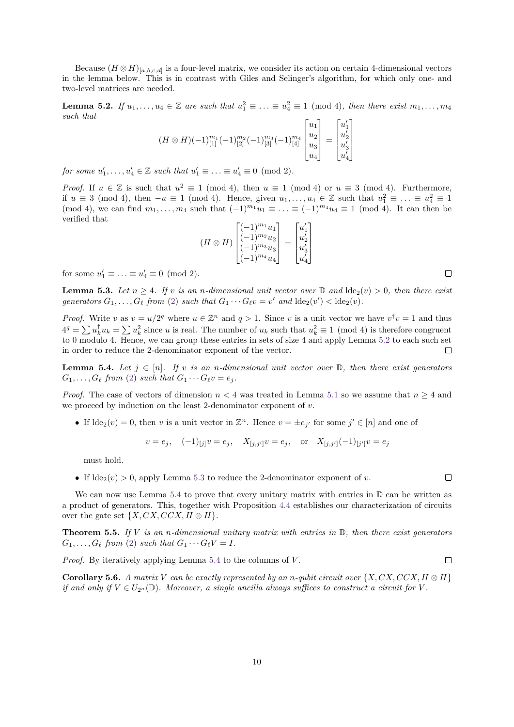Because  $(H \otimes H)_{[a,b,c,d]}$  is a four-level matrix, we consider its action on certain 4-dimensional vectors in the lemma below. This is in contrast with Giles and Selinger's algorithm, for which only one- and two-level matrices are needed.

<span id="page-9-0"></span>**Lemma 5.2.** *If*  $u_1, \ldots, u_4 \in \mathbb{Z}$  are such that  $u_1^2 \equiv \ldots \equiv u_4^2 \equiv 1 \pmod{4}$ , then there exist  $m_1, \ldots, m_4$ *such that*

$$
(H \otimes H)(-1)_{[1]}^{m_1}(-1)_{[2]}^{m_2}(-1)_{[3]}^{m_3}(-1)_{[4]}^{m_4} \begin{bmatrix} u_1 \\ u_2 \\ u_3 \\ u_4 \end{bmatrix} = \begin{bmatrix} u'_1 \\ u'_2 \\ u'_3 \\ u'_4 \end{bmatrix}
$$

*for some*  $u'_1, ..., u'_4 \in \mathbb{Z}$  *such that*  $u'_1 \equiv ... \equiv u'_4 \equiv 0 \pmod{2}$ .

*Proof.* If  $u \in \mathbb{Z}$  is such that  $u^2 \equiv 1 \pmod{4}$ , then  $u \equiv 1 \pmod{4}$  or  $u \equiv 3 \pmod{4}$ . Furthermore, if  $u \equiv 3 \pmod{4}$ , then  $-u \equiv 1 \pmod{4}$ . Hence, given  $u_1, \ldots, u_4 \in \mathbb{Z}$  such that  $u_1^2 \equiv \ldots \equiv u_4^2 \equiv 1$ (mod 4), we can find  $m_1, \ldots, m_4$  such that  $(-1)^{m_1}u_1 \equiv \ldots \equiv (-1)^{m_4}u_4 \equiv 1 \pmod{4}$ . It can then be verified that 1

$$
(H \otimes H) \begin{bmatrix} (-1)^{m_1} u_1 \\ (-1)^{m_2} u_2 \\ (-1)^{m_3} u_3 \\ (-1)^{m_4} u_4 \end{bmatrix} = \begin{bmatrix} u'_1 \\ u'_2 \\ u'_3 \\ u'_4 \end{bmatrix}
$$

for some  $u'_1 \equiv \ldots \equiv u'_4 \equiv 0 \pmod{2}$ .

<span id="page-9-1"></span>**Lemma 5.3.** Let  $n \geq 4$ . If v is an *n*-dimensional unit vector over  $\mathbb{D}$  and  $\text{d}\text{de}_2(v) > 0$ , then there exist *generators*  $G_1, \ldots, G_\ell$  *from* [\(2\)](#page-8-1) *such that*  $G_1 \cdots G_\ell v = v'$  *and*  $\text{d}\text{d}\text{e}_2(v') < \text{d}\text{e}_2(v)$ *.* 

*Proof.* Write *v* as  $v = u/2^q$  where  $u \in \mathbb{Z}^n$  and  $q > 1$ . Since *v* is a unit vector we have  $v^{\dagger}v = 1$  and thus  $4^q = \sum u_k^{\dagger} u_k = \sum u_k^2$  since *u* is real. The number of  $u_k$  such that  $u_k^2 \equiv 1 \pmod{4}$  is therefore congruent to 0 modulo 4. Hence, we can group these entries in sets of size 4 and apply Lemma [5.2](#page-9-0) to each such set in order to reduce the 2-denominator exponent of the vector.  $\Box$ 

<span id="page-9-2"></span>**Lemma 5.4.** Let  $j \in [n]$ . If v is an *n*-dimensional unit vector over  $\mathbb{D}$ , then there exist generators  $G_1, \ldots, G_\ell$  *from* [\(2\)](#page-8-1) *such that*  $G_1 \cdots G_\ell v = e_j$ .

*Proof.* The case of vectors of dimension  $n < 4$  was treated in Lemma [5.1](#page-8-2) so we assume that  $n \geq 4$  and we proceed by induction on the least 2-denominator exponent of *v*.

• If  $\text{Ide}_2(v) = 0$ , then *v* is a unit vector in  $\mathbb{Z}^n$ . Hence  $v = \pm e_{j'}$  for some  $j' \in [n]$  and one of

 $v = e_j$ ,  $(-1)_{[j]}v = e_j$ ,  $X_{[j,j']}v = e_j$ , or  $X_{[j,j']}(-1)_{[j']}v = e_j$ 

must hold.

• If  $\text{ide}_{2}(v) > 0$ , apply Lemma [5.3](#page-9-1) to reduce the 2-denominator exponent of *v*.

We can now use Lemma [5.4](#page-9-2) to prove that every unitary matrix with entries in  $D$  can be written as a product of generators. This, together with Proposition [4.4](#page-6-3) establishes our characterization of circuits over the gate set  $\{X, CX, CCX, H \otimes H\}.$ 

<span id="page-9-3"></span>**Theorem 5.5.** *If V is an n-dimensional unitary matrix with entries in* D*, then there exist generators*  $G_1, \ldots, G_\ell$  *from* [\(2\)](#page-8-1) *such that*  $G_1 \cdots G_\ell V = I$ *.* 

*Proof.* By iteratively applying Lemma [5.4](#page-9-2) to the columns of *V* .

**Corollary 5.6.** *A matrix V can be exactly represented by an <i>n-qubit circuit over*  $\{X, CX, CCX, H \otimes H\}$ *if and only if*  $V \in U_{2^n}(\mathbb{D})$ *. Moreover, a single ancilla always suffices to construct a circuit for V*.

 $\Box$ 

 $\Box$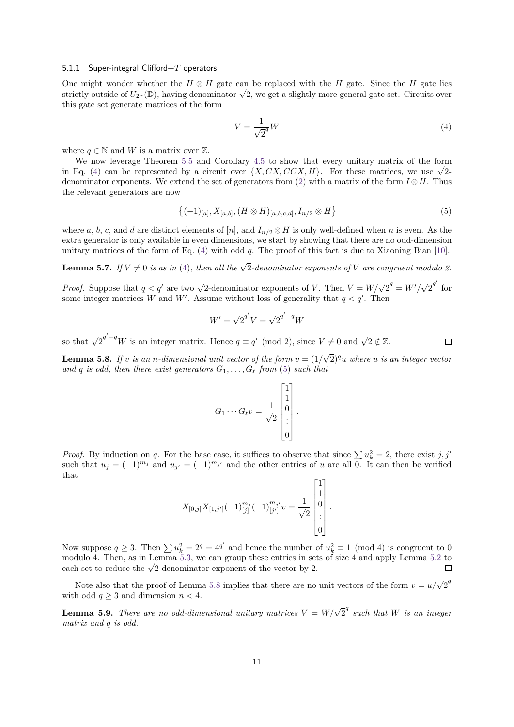### 5.1.1 Super-integral Clifford+*T* operators

One might wonder whether the  $H \otimes H$  gate can be replaced with the *H* gate. Since the *H* gate lies One might wonder whether the  $H \otimes H$  gate can be replaced with the H gate. Since the H gate lies strictly outside of  $U_{2^n}(\mathbb{D})$ , having denominator  $\sqrt{2}$ , we get a slightly more general gate set. Circuits over this gate set generate matrices of the form

<span id="page-10-0"></span>
$$
V = \frac{1}{\sqrt{2}^q}W\tag{4}
$$

where  $q \in \mathbb{N}$  and W is a matrix over  $\mathbb{Z}$ .

We now leverage Theorem [5.5](#page-9-3) and Corollary [4.5](#page-7-1) to show that every unitary matrix of the form in Eq. [\(4\)](#page-10-0) can be represented by a circuit over  $\{X, CX, CCX, H\}$ . For these matrices, we use  $\sqrt{2}$ denominator exponents. We extend the set of generators from  $(2)$  with a matrix of the form  $I \otimes H$ . Thus the relevant generators are now

<span id="page-10-1"></span>
$$
\{(-1)_{[a]}, X_{[a,b]}, (H \otimes H)_{[a,b,c,d]}, I_{n/2} \otimes H\} \tag{5}
$$

*.*

where *a*, *b*, *c*, and *d* are distinct elements of [*n*], and  $I_{n/2} \otimes H$  is only well-defined when *n* is even. As the extra generator is only available in even dimensions, we start by showing that there are no odd-dimension unitary matrices of the form of Eq. [\(4\)](#page-10-0) with odd *q*. The proof of this fact is due to Xiaoning Bian [\[10\]](#page-16-10).

<span id="page-10-3"></span>**Lemma 5.7.** *If*  $V \neq 0$  *is as in* [\(4\)](#page-10-0), *then all the*  $\sqrt{2}$ -denominator exponents of  $V$  are congruent modulo 2.

*Proof.* Suppose that  $q < q'$  are two  $\sqrt{2}$ -denominator exponents of *V*. Then  $V = W/\sqrt{2}^q = W'/\sqrt{2}$  $\overline{2}^{q'}$  for some integer matrices *W* and *W'*. Assume without loss of generality that  $q < q'$ . Then

$$
W' = \sqrt{2}^{q'} V = \sqrt{2}^{q' - q} W
$$

so that  $\sqrt{2}^{q'-q}W$  is an integer matrix. Hence  $q \equiv q' \pmod{2}$ , since  $V \neq 0$  and  $\sqrt{2} \notin \mathbb{Z}$ .

<span id="page-10-2"></span>**Lemma 5.8.** *If v is an n-dimensional unit vector of the form*  $v = (1/$ √ 2)*<sup>q</sup>u where u is an integer vector and q is odd, then there exist generators*  $G_1, \ldots, G_\ell$  *from* [\(5\)](#page-10-1) *such that* 

$$
G_1 \cdots G_{\ell} v = \frac{1}{\sqrt{2}} \begin{bmatrix} 1 \\ 1 \\ 0 \\ \vdots \\ 0 \end{bmatrix}.
$$

*Proof.* By induction on *q*. For the base case, it suffices to observe that since  $\sum u_k^2 = 2$ , there exist *j, j'* such that  $u_j = (-1)^{m_j}$  and  $u_{j'} = (-1)^{m_{j'}}$  and the other entries of *u* are all 0. It can then be verified that

$$
X_{[0,j]}X_{[1,j']}\left(-1\right)_{[j]}^{m_j}\left(-1\right)_{[j']}^{m_{j'}}v=\frac{1}{\sqrt{2}}\begin{bmatrix}1\\1\\0\\ \vdots\\0\end{bmatrix}
$$

Now suppose  $q \geq 3$ . Then  $\sum u_k^2 = 2^q = 4^{q'}$  and hence the number of  $u_k^2 \equiv 1 \pmod{4}$  is congruent to 0 modulo 4. Then, as in Lemma [5.3,](#page-9-1) we can group these entries in sets of size 4 and apply Lemma [5.2](#page-9-0) to modulo 4. Then, as in Lemma 5.3, we can group these entries in set<br>each set to reduce the  $\sqrt{2}$ -denominator exponent of the vector by 2.  $\Box$ 

Note also that the proof of Lemma [5.8](#page-10-2) implies that there are no unit vectors of the form  $v = u/\sqrt{2}^q$ with odd  $q \geq 3$  and dimension  $n < 4$ .

<span id="page-10-4"></span>**Lemma 5.9.** *There are no odd-dimensional unitary matrices*  $V = W/\sqrt{2}^q$  such that W is an integer *matrix and q is odd.*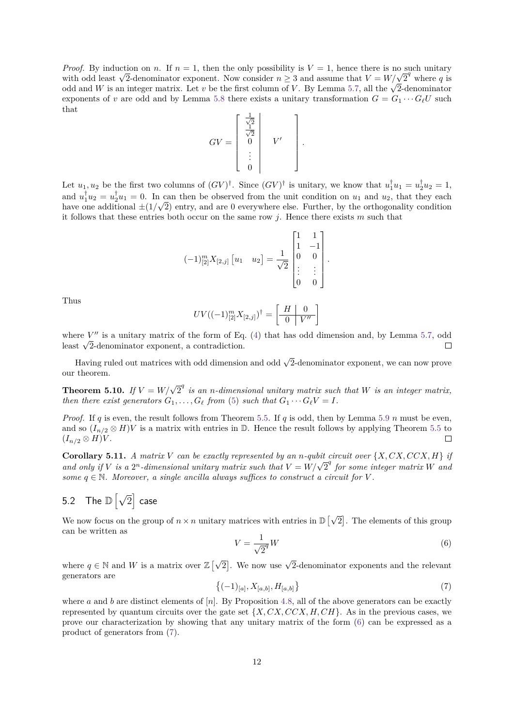*Proof.* By induction on *n*. If  $n = 1$ , then the only possibility is  $V = 1$ , hence there is no such unitary *Proof.* By induction on *n*. If  $n = 1$ , then the only possibility is  $V = 1$ , hence there is no such unitary with odd least  $\sqrt{2}$ -denominator exponent. Now consider  $n \geq 3$  and assume that  $V = W/\sqrt{2}^q$  where q is with odd least  $\sqrt{2}$ -denominator exponent. Now consider  $n \geq 3$  and assume that  $V = W/\sqrt{2}$  where q is odd and W is an integer matrix. Let v be the first column of V. By Lemma [5.7,](#page-10-3) all the  $\sqrt{2}$ -denominator exponents of *v* are odd and by Lemma [5.8](#page-10-2) there exists a unitary transformation  $G = G_1 \cdots G_\ell U$  such that

$$
GV = \left[\begin{array}{c} \frac{1}{\sqrt{2}} \\ \frac{1}{\sqrt{2}} \\ 0 \\ \vdots \\ 0 \end{array}\right] \quad V' \quad \left[\rule{0cm}{1.25cm}\right]
$$

*.*

Let  $u_1, u_2$  be the first two columns of  $(GV)^{\dagger}$ . Since  $(GV)^{\dagger}$  is unitary, we know that  $u_1^{\dagger}u_1 = u_2^{\dagger}u_2 = 1$ , and  $u_1^{\dagger} u_2 = u_2^{\dagger} u_1 = 0$ . In can then be observed from the unit condition on  $u_1$  and  $u_2$ , that they each have one additional  $\pm(1/\sqrt{2})$  entry, and are 0 everywhere else. Further, by the orthogonality condition it follows that these entries both occur on the same row *j*. Hence there exists *m* such that

$$
(-1)^{m}_{[2]}X_{[2,j]}\begin{bmatrix}u_1 & u_2\end{bmatrix} = \frac{1}{\sqrt{2}}\begin{bmatrix}1 & 1\\1 & -1\\0 & 0\\ \vdots & \vdots\\0 & 0\end{bmatrix}.
$$

Thus

$$
UV((-1)^{m}_{[2]}X_{[2,j]})^{\dagger} = \left[\begin{array}{c|c} H & 0 \\ \hline 0 & V'' \end{array}\right]
$$

where  $V''$  is a unitary matrix of the form of Eq.  $(4)$  that has odd dimension and, by Lemma [5.7,](#page-10-3) odd where  $V^{\dagger}$  is a unitary matrix of the form of Eq<br>least  $\sqrt{2}$ -denominator exponent, a contradiction.  $\Box$ 

Having ruled out matrices with odd dimension and odd  $\sqrt{2}$ -denominator exponent, we can now prove our theorem.

**Theorem 5.10.** *If*  $V = W/\sqrt{2}^q$  *is an n-dimensional unitary matrix such that W is an integer matrix, then there exist generators*  $G_1, \ldots, G_\ell$  *from* [\(5\)](#page-10-1) *such that*  $G_1 \cdots G_\ell V = I$ *.* 

*Proof.* If *q* is even, the result follows from Theorem [5.5.](#page-9-3) If *q* is odd, then by Lemma [5.9](#page-10-4) *n* must be even, and so  $(I_{n/2} \otimes H)V$  is a matrix with entries in D. Hence the result follows by applying Theorem [5.5](#page-9-3) to  $(I_{n/2} \otimes H)V$ .  $\Box$ 

**Corollary 5.11.** *A matrix V can be exactly represented by an <i>n*-qubit circuit over  $\{X, CX, CCX, H\}$  *if* **and only if** *V* is a 2<sup>n</sup>-dimensional unitary matrix such that  $V = W/\sqrt{2}^q$  for some integer matrix *W* and only if *V* is a 2<sup>n</sup>-dimensional unitary matrix such that  $V = W/\sqrt{2}^q$  for some integer matrix *W* and *some*  $q \in \mathbb{N}$ *. Moreover, a single ancilla always suffices to construct a circuit for V*.

# 5.2 The  $\mathbb{D}\left[\sqrt{2}\right]$  case

We now focus on the group of  $n \times n$  unitary matrices with entries in  $\mathbb{D} \left[ \sqrt{n} \right]$ 2 . The elements of this group can be written as

<span id="page-11-0"></span>
$$
V = \frac{1}{\sqrt{2}^q}W\tag{6}
$$

where  $q \in \mathbb{N}$  and W is a matrix over  $\mathbb{Z} \left[ \sqrt{\frac{q}{n}} \right]$ 2. We now use  $\sqrt{2}$ -denominator exponents and the relevant generators are

<span id="page-11-1"></span>
$$
\{(-1)_{[a]}, X_{[a,b]}, H_{[a,b]}\}\tag{7}
$$

<span id="page-11-2"></span>where *a* and *b* are distinct elements of  $[n]$ . By Proposition [4.8,](#page-7-2) all of the above generators can be exactly represented by quantum circuits over the gate set {*X, CX, CCX, H, CH*}. As in the previous cases, we prove our characterization by showing that any unitary matrix of the form [\(6\)](#page-11-0) can be expressed as a product of generators from [\(7\)](#page-11-1).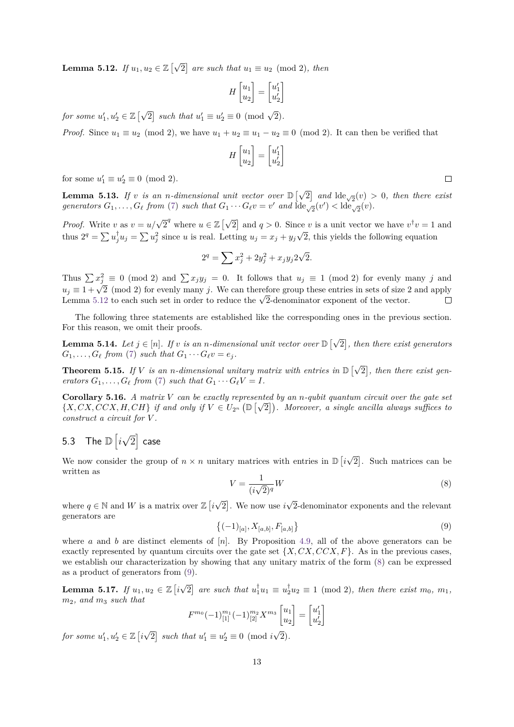Lemma 5.12. *If*  $u_1, u_2 \in \mathbb{Z}$   $\lbrack \sqrt{ }$  $\boxed{2}$  are such that  $u_1 \equiv u_2 \pmod{2}$ , then

$$
H\begin{bmatrix} u_1 \\ u_2 \end{bmatrix} = \begin{bmatrix} u'_1 \\ u'_2 \end{bmatrix}
$$

*for some*  $u'_1, u'_2 \in \mathbb{Z}$  [ $\sqrt{ }$  $\boxed{2}$  such that  $u'_1 \equiv u'_2 \equiv 0 \pmod{\sqrt{2}}$ .

*Proof.* Since  $u_1 \equiv u_2 \pmod{2}$ , we have  $u_1 + u_2 \equiv u_1 - u_2 \equiv 0 \pmod{2}$ . It can then be verified that

$$
H\begin{bmatrix} u_1 \\ u_2 \end{bmatrix} = \begin{bmatrix} u'_1 \\ u'_2 \end{bmatrix}
$$

for some  $u'_1 \equiv u'_2 \equiv 0 \pmod{2}$ .

**Lemma 5.13.** *If v is an n-dimensional unit vector over*  $\mathbb{D} \left[ \sqrt{\frac{1}{n}} \right]$  $\boxed{2}$  and  $\text{Ide}_{\sqrt{2}}(v) > 0$ , then there exist *generators*  $G_1, \ldots, G_\ell$  *from* [\(7\)](#page-11-1) *such that*  $G_1 \cdots G_\ell v = v'$  *and*  $\text{Ide}_{\sqrt{2}}(v') < \text{Ide}_{\sqrt{2}}(v)$ *.* 

*Proof.* Write *v* as  $v = u/\sqrt{2}^q$  where  $u \in \mathbb{Z} \setminus \sqrt{2}$  $\boxed{2}$  and  $q > 0$ . Since *v* is a unit vector we have  $v^{\dagger}v = 1$  and thus  $2^q = \sum u_j^{\dagger} u_j = \sum u_j^2$  since *u* is real. Letting  $u_j = x_j + y_j\sqrt{2}$ , this yields the following equation

$$
2^{q} = \sum x_{j}^{2} + 2y_{j}^{2} + x_{j}y_{j}2\sqrt{2}.
$$

Thus  $\sum x_j^2 \equiv 0 \pmod{2}$  and  $\sum x_j y_j = 0$ . It follows that  $u_j \equiv 1 \pmod{2}$  for evenly many *j* and  $u_j \equiv 1 + \sqrt{2} \pmod{2}$  for evenly many *j*. We can therefore group these entries in sets of size 2 and apply  $u_j \equiv 1 + \sqrt{2}$  (mod 2) for evenly many *j*. We can therefore group these entries in sets of size 2 and apply  $u_j = 1 + \sqrt{2}$  (mod 2) for evently many j. We can therefore group these entries in sets of size 2<br>Lemma [5.12](#page-11-2) to each such set in order to reduce the  $\sqrt{2}$ -denominator exponent of the vector.  $\Box$ 

The following three statements are established like the corresponding ones in the previous section. For this reason, we omit their proofs.

**Lemma 5.14.** *Let*  $j \in [n]$ *. If*  $v$  *is an n-dimensional unit vector over*  $\mathbb{D} \left[ \sqrt{\frac{g(v)}{g(v)}} \right]$ 2 *, then there exist generators*  $G_1, \ldots, G_\ell$  *from* [\(7\)](#page-11-1) *such that*  $G_1 \cdots G_\ell v = e_j$ .

**Theorem 5.15.** If *V* is an *n*-dimensional unitary matrix with entries in  $\mathbb{D} \left[ \sqrt{\frac{1}{n}} \right]$ 2 *, then there exist generators*  $G_1, \ldots, G_\ell$  *from* [\(7\)](#page-11-1) *such that*  $G_1 \cdots G_\ell V = I$ *.* 

**Corollary 5.16.** *A matrix V can be exactly represented by an <i>n-qubit quantum circuit over the gate set*  $\{X, CX, CCX, H, CH\}$  *if and only if*  $V \in U_{2^n}(\mathbb{D}[\sqrt{2}]).$  Moreover, a single ancilla always suffices to *construct a circuit for V .*

#### 5.3 The  $\mathbb{D}\left[i\right]$ √  $\overline{2}]$  case

We now consider the group of  $n \times n$  unitary matrices with entries in  $\mathbb{D} \left[ i \right]$ √ 2 . Such matrices can be written as

<span id="page-12-0"></span>
$$
V = \frac{1}{(i\sqrt{2})^q}W\tag{8}
$$

where  $q \in \mathbb{N}$  and *W* is a matrix over  $\mathbb{Z}$  [*i* √ 2 . We now use *i* √ 2-denominator exponents and the relevant generators are

<span id="page-12-1"></span>
$$
\{(-1)_{[a]}, X_{[a,b]}, F_{[a,b]}\}\tag{9}
$$

where *a* and *b* are distinct elements of  $[n]$ . By Proposition [4.9,](#page-7-3) all of the above generators can be exactly represented by quantum circuits over the gate set  $\{X, CX, CCX, F\}$ . As in the previous cases, we establish our characterization by showing that any unitary matrix of the form [\(8\)](#page-12-0) can be expressed as a product of generators from [\(9\)](#page-12-1).

<span id="page-12-2"></span>**Lemma 5.17.** *If*  $u_1, u_2 \in \mathbb{Z}$  [*i* √  $\overline{2}$  are such that  $u_1^{\dagger}u_1 \equiv u_2^{\dagger}u_2 \equiv 1 \pmod{2}$ , then there exist  $m_0, m_1$ , *m*2*, and m*<sup>3</sup> *such that*

$$
F^{m_0}(-1)^{m_1}_{[1]}(-1)^{m_2}_{[2]}X^{m_3}\begin{bmatrix}u_1\\u_2\end{bmatrix}=\begin{bmatrix}u'_1\\u'_2\end{bmatrix}
$$

*for some*  $u'_1, u'_2 \in \mathbb{Z}$  [*i* √  $\boxed{2}$  such that  $u'_1 \equiv u'_2 \equiv 0 \pmod{i}$ 2)*.*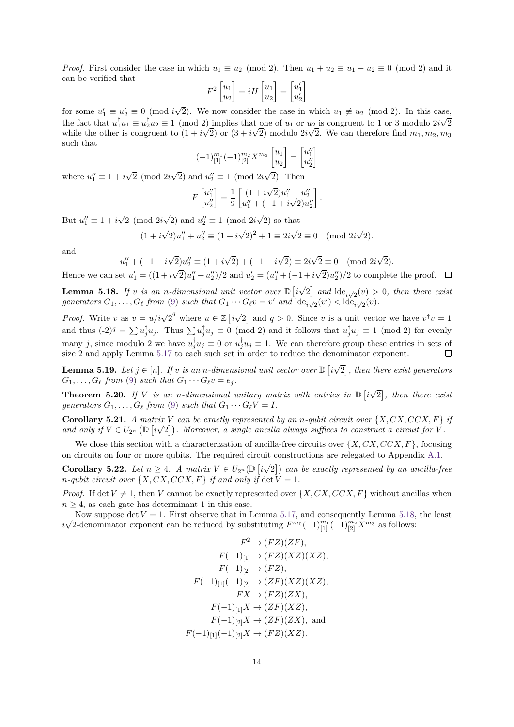*Proof.* First consider the case in which  $u_1 \equiv u_2 \pmod{2}$ . Then  $u_1 + u_2 \equiv u_1 - u_2 \equiv 0 \pmod{2}$  and it can be verified that

$$
F^{2}\begin{bmatrix} u_1 \\ u_2 \end{bmatrix} = iH \begin{bmatrix} u_1 \\ u_2 \end{bmatrix} = \begin{bmatrix} u'_1 \\ u'_2 \end{bmatrix}
$$

for some  $u'_1 \equiv u'_2 \equiv 0 \pmod{i}$ √ 2). We now consider the case in which  $u_1 \not\equiv u_2 \pmod{2}$ . In this case, the fact that  $u_1^{\dagger}u_1 \equiv u_2^{\dagger}u_2 \equiv 1 \pmod{2}$  implies that one of  $u_1$  or  $u_2$  is congruent to 1 or 3 modulo  $2i\sqrt{2}$ while the other is congruent to  $(1 + i$ √ 2) or (3 + *i*  $^{\rm \scriptscriptstyle (L}$ 2) modulo 2*i*  $u_2$ 2. We can therefore find  $m_1, m_2, m_3$ such that 1

$$
(-1)^{m_1}_{[1]}(-1)^{m_2}_{[2]}X^{m_3}\begin{bmatrix}u_1\\u_2\end{bmatrix} = \begin{bmatrix}u''_1\\u''_2\end{bmatrix}
$$

where  $u_1'' \equiv 1 + i$ √ 2 (mod 2*i* √  $\overline{2}$ ) and  $u_2'' \equiv 1 \pmod{2i}$ 2). Then

$$
F\begin{bmatrix}u_1''\\u_2''\end{bmatrix} = \frac{1}{2} \begin{bmatrix} (1+i\sqrt{2})u_1'' + u_2''\\u_1'' + (-1+i\sqrt{2})u_2''\end{bmatrix}.
$$

But  $u_1'' \equiv 1 + i$ √ 2 (mod 2*i* √  $\overline{2}$ ) and  $u_2'' \equiv 1 \pmod{2i}$ 2) so that

$$
(1 + i\sqrt{2})u''_1 + u''_2 \equiv (1 + i\sqrt{2})^2 + 1 \equiv 2i\sqrt{2} \equiv 0 \pmod{2i\sqrt{2}}.
$$

and

$$
u''_1 + (-1 + i\sqrt{2})u''_2 \equiv (1 + i\sqrt{2}) + (-1 + i\sqrt{2}) \equiv 2i\sqrt{2} \equiv 0 \pmod{2i\sqrt{2}}.
$$

Hence we can set  $u'_1 = ((1 + i$  $\overline{2}$ ) $u_1'' + u_2''$  $/2$  and  $u_2' = (u_1'' + (-1 + i))$  $(2)u''_2$  /2 to complete the proof. √

<span id="page-13-0"></span>**Lemma 5.18.** If *v is an n-dimensional unit vector over*  $\mathbb{D}$  [*i*  $\boxed{2}$  and  $\text{Ide}_{i\sqrt{2}}(v) > 0$ , then there exist generators  $G_1, \ldots, G_\ell$  from [\(9\)](#page-12-1) such that  $G_1 \cdots G_\ell v = v'$  and  $\text{Ide}_{i\sqrt{2}}(v') < \text{Ide}_{i\sqrt{2}}(v)$ .

*Proof.* Write *v* as  $v = u/i\sqrt{2}^q$  where  $u \in \mathbb{Z}$  [*i* √  $\boxed{2}$  and  $q > 0$ . Since *v* is a unit vector we have  $v^{\dagger}v = 1$ and thus  $(-2)^q = \sum u_j^{\dagger} u_j$ . Thus  $\sum u_j^{\dagger} u_j \equiv 0 \pmod{2}$  and it follows that  $u_j^{\dagger} u_j \equiv 1 \pmod{2}$  for evenly many *j*, since modulo 2 we have  $u_j^{\dagger}u_j \equiv 0$  or  $u_j^{\dagger}u_j \equiv 1$ . We can therefore group these entries in sets of size 2 and apply Lemma [5.17](#page-12-2) to each such set in order to reduce the denominator exponent. √

<span id="page-13-1"></span>**Lemma 5.19.** Let  $j \in [n]$ . If  $v$  is an *n*-dimensional unit vector over  $\mathbb{D} \left[ i \right]$ 2 *, then there exist generators*  $G_1, \ldots, G_\ell$  *from* [\(9\)](#page-12-1) *such that*  $G_1 \cdots G_\ell v = e_j$ . √

**Theorem 5.20.** If V is an *n*-dimensional unitary matrix with entries in  $\mathbb{D}$  [i 2 *, then there exist generators*  $G_1, \ldots, G_\ell$  *from* [\(9\)](#page-12-1) *such that*  $G_1 \cdots G_\ell V = I$ *.* 

**Corollary 5.21.** *A matrix V can be exactly represented by an <i>n-qubit circuit over*  $\{X, CX, CCX, F\}$  *if* and only if  $V \in U_{2^n}(\mathbb{D}[i\sqrt{2}])$ . Moreover, a single ancilla always suffices to construct a circuit for  $\hat{V}$ .

We close this section with a characterization of ancilla-free circuits over  $\{X, CX, CCX, F\}$ , focusing on circuits on four or more qubits. The required circuit constructions are relegated to Appendix [A.1.](#page-18-6)

<span id="page-13-2"></span>**Corollary 5.22.** *Let*  $n \geq 4$ *. A matrix*  $V \in U_{2^n}(\mathbb{D})$  *i* √ 2 ) *can be exactly represented by an ancilla-free n-qubit circuit over*  $\{X, CX, CCX, F\}$  *if and only if*  $\det V = 1$ *.* 

*Proof.* If det  $V \neq 1$ , then *V* cannot be exactly represented over  $\{X, CX, CCX, F\}$  without ancillas when  $n \geq 4$ , as each gate has determinant 1 in this case.

Now suppose det  $V = 1$ . First observe that in Lemma [5.17,](#page-12-2) and consequently Lemma [5.18,](#page-13-0) the least *i* √ 2-denominator exponent can be reduced by substituting  $F^{m_0}(-1)^{m_1}_{[1]}(-1)^{m_2}_{[2]}X^{m_3}$  as follows:

$$
F^2 \to (FZ)(ZF),
$$
  
\n
$$
F(-1)_{[1]} \to (FZ)(XZ)(XZ),
$$
  
\n
$$
F(-1)_{[2]} \to (FZ),
$$
  
\n
$$
F(-1)_{[1]}(-1)_{[2]} \to (ZF)(XZ)(XZ),
$$
  
\n
$$
FX \to (FZ)(ZX),
$$
  
\n
$$
F(-1)_{[1]}X \to (ZF)(XZ),
$$
  
\n
$$
F(-1)_{[2]}X \to (ZF)(ZX),
$$
 and  
\n
$$
F(-1)_{[1]}(-1)_{[2]}X \to (FZ)(XZ).
$$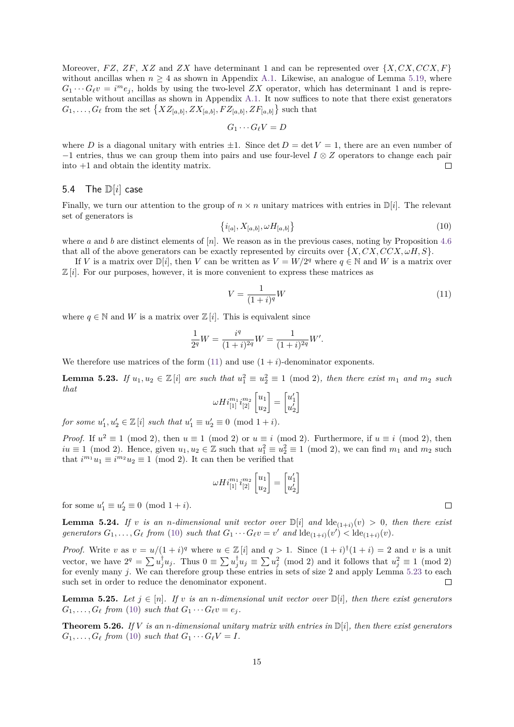Moreover, *FZ*, *ZF*, *XZ* and *ZX* have determinant 1 and can be represented over  $\{X, CX, CCX, F\}$ without ancillas when  $n \geq 4$  as shown in Appendix [A.1.](#page-18-6) Likewise, an analogue of Lemma [5.19,](#page-13-1) where  $G_1 \cdots G_\ell v = i^m e_j$ , holds by using the two-level *ZX* operator, which has determinant 1 and is representable without ancillas as shown in Appendix [A.1.](#page-18-6) It now suffices to note that there exist generators  $G_1, \ldots, G_\ell$  from the set  $\{XZ_{[a,b]}, ZX_{[a,b]}, FZ_{[a,b]}, ZF_{[a,b]}\}$  such that

$$
G_1\cdots G_\ell V=D
$$

where *D* is a diagonal unitary with entries  $\pm 1$ . Since det  $D = \det V = 1$ , there are an even number of −1 entries, thus we can group them into pairs and use four-level *I* ⊗ *Z* operators to change each pair into +1 and obtain the identity matrix.  $\Box$ 

### 5.4 The D[*i*] case

Finally, we turn our attention to the group of  $n \times n$  unitary matrices with entries in  $\mathbb{D}[i]$ . The relevant set of generators is

<span id="page-14-1"></span>
$$
\{i_{[a]}, X_{[a,b]}, \omega H_{[a,b]}\}\tag{10}
$$

where *a* and *b* are distinct elements of  $[n]$ . We reason as in the previous cases, noting by Proposition [4.6](#page-7-0) that all of the above generators can be exactly represented by circuits over  $\{X, CX, CCX, \omega H, S\}$ .

If *V* is a matrix over  $\mathbb{D}[i]$ , then *V* can be written as  $V = W/2^q$  where  $q \in \mathbb{N}$  and *W* is a matrix over  $\mathbb{Z}[i]$ . For our purposes, however, it is more convenient to express these matrices as

<span id="page-14-0"></span>
$$
V = \frac{1}{(1+i)^q}W\tag{11}
$$

where  $q \in \mathbb{N}$  and *W* is a matrix over  $\mathbb{Z}[i]$ . This is equivalent since

$$
\frac{1}{2^{q}}W = \frac{i^{q}}{(1+i)^{2q}}W = \frac{1}{(1+i)^{2q}}W'.
$$

We therefore use matrices of the form  $(11)$  and use  $(1 + i)$ -denominator exponents.

<span id="page-14-2"></span>**Lemma 5.23.** If  $u_1, u_2 \in \mathbb{Z}[i]$  are such that  $u_1^2 \equiv u_2^2 \equiv 1 \pmod{2}$ , then there exist  $m_1$  and  $m_2$  such *that*

$$
\omega Hi_{[1]}^{m_1}i_{[2]}^{m_2}\begin{bmatrix}u_1\\u_2\end{bmatrix}=\begin{bmatrix}u_1'\\u_2'\end{bmatrix}
$$

*for some*  $u'_1, u'_2 \in \mathbb{Z}[i]$  *such that*  $u'_1 \equiv u'_2 \equiv 0 \pmod{1+i}$ .

*Proof.* If  $u^2 \equiv 1 \pmod{2}$ , then  $u \equiv 1 \pmod{2}$  or  $u \equiv i \pmod{2}$ . Furthermore, if  $u \equiv i \pmod{2}$ , then  $iu \equiv 1 \pmod{2}$ . Hence, given  $u_1, u_2 \in \mathbb{Z}$  such that  $u_1^2 \equiv u_2^2 \equiv 1 \pmod{2}$ , we can find  $m_1$  and  $m_2$  such that  $i^{m_1}u_1 \equiv i^{m_2}u_2 \equiv 1 \pmod{2}$ . It can then be verified that

$$
\omega Hi_{[1]}^{m_1}i_{[2]}^{m_2}\begin{bmatrix}u_1\\u_2\end{bmatrix}=\begin{bmatrix}u_1'\\u_2'\end{bmatrix}
$$

for some  $u'_1 \equiv u'_2 \equiv 0 \pmod{1+i}$ .

<span id="page-14-3"></span>**Lemma 5.24.** If *v* is an *n*-dimensional unit vector over  $\mathbb{D}[i]$  and  $\text{Id}_{\mathbb{C}(1+i)}(v) > 0$ , then there exist *generators*  $G_1, \ldots, G_\ell$  *from* [\(10\)](#page-14-1) *such that*  $G_1 \cdots G_\ell v = v'$  *and*  $\text{Ide}_{(1+i)}(v') < \text{Ide}_{(1+i)}(v)$ .

*Proof.* Write *v* as  $v = u/(1+i)^q$  where  $u \in \mathbb{Z}[i]$  and  $q > 1$ . Since  $(1+i)^{\dagger}(1+i) = 2$  and *v* is a unit vector, we have  $2^q = \sum u_j^{\dagger} u_j$ . Thus  $0 \equiv \sum u_j^{\dagger} u_j \equiv \sum u_j^2 \pmod{2}$  and it follows that  $u_j^2 \equiv 1 \pmod{2}$ for evenly many *j*. We can therefore group these entries in sets of size 2 and apply Lemma [5.23](#page-14-2) to each such set in order to reduce the denominator exponent.  $\Box$ 

<span id="page-14-4"></span>**Lemma 5.25.** Let  $j \in [n]$ . If  $v$  is an *n*-dimensional unit vector over  $\mathbb{D}[i]$ , then there exist generators  $G_1, \ldots, G_\ell$  *from* [\(10\)](#page-14-1) *such that*  $G_1 \cdots G_\ell v = e_j$ .

<span id="page-14-6"></span><span id="page-14-5"></span>**Theorem 5.26.** *If V is an n-dimensional unitary matrix with entries in* D[*i*]*, then there exist generators*  $G_1, \ldots, G_\ell$  *from* [\(10\)](#page-14-1) *such that*  $G_1 \cdots G_\ell V = I$ *.*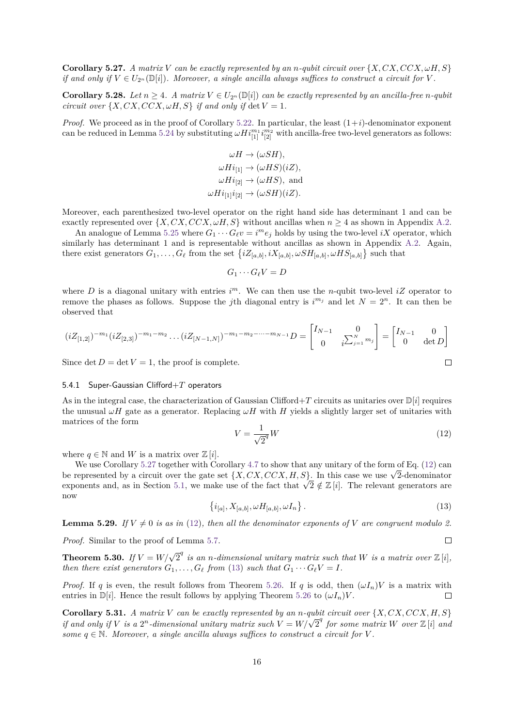**Corollary 5.27.** *A matrix V can be exactly represented by an <i>n*-qubit circuit over  $\{X, CX, CCX, \omegaH, S\}$ *if and only if*  $V \in U_{2^n}(\mathbb{D}[i])$ *. Moreover, a single ancilla always suffices to construct a circuit for V*.

**Corollary 5.28.** *Let*  $n \geq 4$ *.* A matrix  $V \in U_{2^n}(\mathbb{D}[i])$  can be exactly represented by an ancilla-free *n*-qubit *circuit over*  $\{X, CX, CCX, \omega H, S\}$  *if and only if*  $\det V = 1$ *.* 

*Proof.* We proceed as in the proof of Corollary [5.22.](#page-13-2) In particular, the least  $(1+i)$ -denominator exponent can be reduced in Lemma [5.24](#page-14-3) by substituting  $\omega H i_{[1]}^{m_1} i_{[2]}^{m_2}$  with ancilla-free two-level generators as follows:

$$
\omega H \to (\omega SH),
$$
  
\n
$$
\omega Hi_{[1]} \to (\omega HS)(iZ),
$$
  
\n
$$
\omega Hi_{[2]} \to (\omega HS), \text{ and}
$$
  
\n
$$
\omega Hi_{[1]}\dot{i}_{[2]} \to (\omega SH)(iZ).
$$

Moreover, each parenthesized two-level operator on the right hand side has determinant 1 and can be exactly represented over  $\{X, CX, CCX, \omega H, S\}$  without ancillas when  $n \geq 4$  as shown in Appendix [A.2.](#page-20-0)

An analogue of Lemma [5.25](#page-14-4) where  $G_1 \cdots G_\ell v = i^m e_j$  holds by using the two-level *iX* operator, which similarly has determinant 1 and is representable without ancillas as shown in Appendix [A.2.](#page-20-0) Again, there exist generators  $G_1, \ldots, G_\ell$  from the set  $\{iZ_{[a,b]}, iX_{[a,b]}, \omega SH_{[a,b]}, \omega HS_{[a,b]}\}$  such that

$$
G_1\cdots G_\ell V=D
$$

where *D* is a diagonal unitary with entries  $i^m$ . We can then use the *n*-qubit two-level  $iZ$  operator to remove the phases as follows. Suppose the *j*th diagonal entry is  $i^{m_j}$  and let  $N = 2^n$ . It can then be observed that

$$
(iZ_{[1,2]})^{-m_1}(iZ_{[2,3]})^{-m_1-m_2}\dots(iZ_{[N-1,N]})^{-m_1-m_2-\dots-m_{N-1}}D = \begin{bmatrix} I_{N-1} & 0 \\ 0 & i \sum_{j=1}^N m_j \end{bmatrix} = \begin{bmatrix} I_{N-1} & 0 \\ 0 & \det D \end{bmatrix}
$$
  
Since det  $D = \det V = 1$ , the proof is complete.

Since  $\det D = \det V = 1$ , the proof is complete.

### 5.4.1 Super-Gaussian Clifford+*T* operators

As in the integral case, the characterization of Gaussian Clifford+ $T$  circuits as unitaries over  $\mathbb{D}[i]$  requires the unusual  $\omega H$  gate as a generator. Replacing  $\omega H$  with *H* yields a slightly larger set of unitaries with matrices of the form

<span id="page-15-0"></span>
$$
V = \frac{1}{\sqrt{2}^q}W\tag{12}
$$

where  $q \in \mathbb{N}$  and *W* is a matrix over  $\mathbb{Z}[i]$ .

We use Corollary [5.27](#page-14-5) together with Corollary [4.7](#page-7-4) to show that any unitary of the form of Eq. [\(12\)](#page-15-0) can be represented by a circuit over the gate set  $\{X, CX, CCX, H, S\}$ . In this case we use  $\sqrt{2}$ -denominator be represented by a circuit over the gate set { $\lambda$ ,  $\lambda$ ,  $\lambda$ ,  $\lambda$ ,  $\lambda$ ,  $\lambda$ }. In this case we use  $\sqrt{2}$ -denominator exponents and, as in Section [5.1,](#page-8-3) we make use of the fact that  $\sqrt{2} \notin \mathbb{Z}[i]$ . The relevant ge now

<span id="page-15-1"></span>
$$
\{i_{[a]}, X_{[a,b]}, \omega H_{[a,b]}, \omega I_n\}.
$$
\n(13)

 $\Box$ 

**Lemma 5.29.** *If*  $V \neq 0$  *is as in* [\(12\)](#page-15-0)*, then all the denominator exponents of V are congruent modulo 2.* 

*Proof.* Similar to the proof of Lemma [5.7.](#page-10-3)

**Theorem 5.30.** If  $V = W/\sqrt{2}^q$  is an *n*-dimensional unitary matrix such that W is a matrix over  $\mathbb{Z}[i]$ , *then there exist generators*  $G_1, \ldots, G_\ell$  *from* [\(13\)](#page-15-1) *such that*  $G_1 \cdots G_\ell V = I$ .

*Proof.* If *q* is even, the result follows from Theorem [5.26.](#page-14-6) If *q* is odd, then  $(\omega I_n)V$  is a matrix with entries in  $\mathbb{D}[i]$ . Hence the result follows by applying Theorem [5.26](#page-14-6) to  $(\omega I_n)V$ .  $\Box$ 

**Corollary 5.31.** *A matrix V can be exactly represented by an <i>n*-qubit circuit over  $\{X, CX, CCX, H, S\}$ *if and only if V is a*  $2^n$ *-dimensional unitary matrix such*  $V = W/\sqrt{2}^q$  *for some matrix W over*  $\mathbb{Z}[i]$  *and if*  $V$  *is a*  $2^n$ *-dimensional unitary matrix such*  $V = W/\sqrt{2}^q$  *for some matrix W ov some*  $q \in \mathbb{N}$ *. Moreover, a single ancilla always suffices to construct a circuit for V*.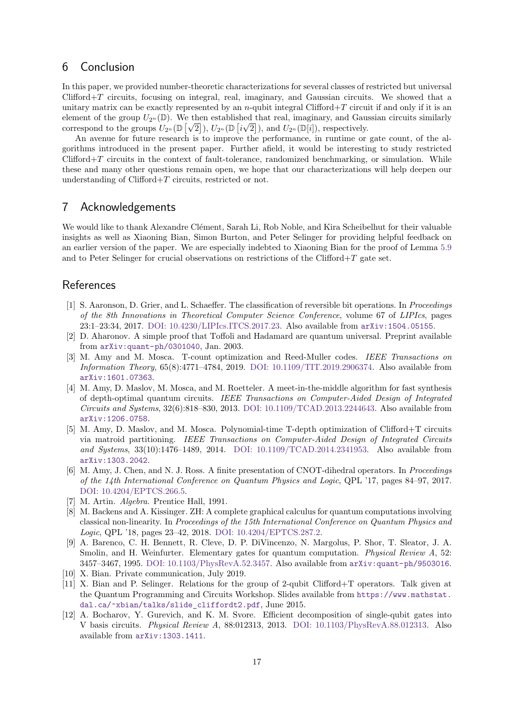## <span id="page-16-7"></span>6 Conclusion

In this paper, we provided number-theoretic characterizations for several classes of restricted but universal Clifford+*T* circuits, focusing on integral, real, imaginary, and Gaussian circuits. We showed that a unitary matrix can be exactly represented by an *n*-qubit integral Clifford+ $T$  circuit if and only if it is an element of the group  $U_{2^n}(\mathbb{D})$ . We then established that real, imaginary, and Gaussian circuits similarly correspond to the groups  $U_{2^n}(\mathbb{D}[\sqrt{2}]), U_{2^n}(\mathbb{D}[i \sqrt{2}]),$  and  $U_{2^n}(\mathbb{D}[i])$ , respectively.

An avenue for future research is to improve the performance, in runtime or gate count, of the algorithms introduced in the present paper. Further afield, it would be interesting to study restricted Clifford+*T* circuits in the context of fault-tolerance, randomized benchmarking, or simulation. While these and many other questions remain open, we hope that our characterizations will help deepen our understanding of Clifford+*T* circuits, restricted or not.

## 7 Acknowledgements

We would like to thank Alexandre Clément, Sarah Li, Rob Noble, and Kira Scheibelhut for their valuable insights as well as Xiaoning Bian, Simon Burton, and Peter Selinger for providing helpful feedback on an earlier version of the paper. We are especially indebted to Xiaoning Bian for the proof of Lemma [5.9](#page-10-4) and to Peter Selinger for crucial observations on restrictions of the Clifford+*T* gate set.

## References

- <span id="page-16-6"></span>[1] S. Aaronson, D. Grier, and L. Schaeffer. The classification of reversible bit operations. In Proceedings of the 8th Innovations in Theoretical Computer Science Conference, volume 67 of LIPIcs, pages 23:1–23:34, 2017. [DOI: 10.4230/LIPIcs.ITCS.2017.23.](https://doi.org/10.4230/LIPIcs.ITCS.2017.23) Also available from [arXiv:1504.05155](http://arxiv.org/abs/1504.05155).
- <span id="page-16-4"></span>[2] D. Aharonov. A simple proof that Toffoli and Hadamard are quantum universal. Preprint available from [arXiv:quant-ph/0301040](http://arxiv.org/abs/quant-ph/0301040), Jan. 2003.
- <span id="page-16-2"></span>[3] M. Amy and M. Mosca. T-count optimization and Reed-Muller codes. IEEE Transactions on Information Theory, 65(8):4771–4784, 2019. [DOI: 10.1109/TIT.2019.2906374.](https://doi.org/10.1109/TIT.2019.2906374) Also available from [arXiv:1601.07363](http://arxiv.org/abs/1601.07363).
- [4] M. Amy, D. Maslov, M. Mosca, and M. Roetteler. A meet-in-the-middle algorithm for fast synthesis of depth-optimal quantum circuits. IEEE Transactions on Computer-Aided Design of Integrated Circuits and Systems, 32(6):818–830, 2013. [DOI: 10.1109/TCAD.2013.2244643.](https://doi.org/10.1109/TCAD.2013.2244643) Also available from [arXiv:1206.0758](http://arxiv.org/abs/1206.0758).
- [5] M. Amy, D. Maslov, and M. Mosca. Polynomial-time T-depth optimization of Clifford+T circuits via matroid partitioning. IEEE Transactions on Computer-Aided Design of Integrated Circuits and Systems, 33(10):1476–1489, 2014. [DOI: 10.1109/TCAD.2014.2341953.](https://doi.org/10.1109/TCAD.2014.2341953) Also available from [arXiv:1303.2042](http://arxiv.org/abs/1303.2042).
- <span id="page-16-3"></span>[6] M. Amy, J. Chen, and N. J. Ross. A finite presentation of CNOT-dihedral operators. In Proceedings of the 14th International Conference on Quantum Physics and Logic, QPL '17, pages 84–97, 2017. [DOI: 10.4204/EPTCS.266.5.](https://doi.org/10.4204/EPTCS.266.5)
- <span id="page-16-8"></span>[7] M. Artin. Algebra. Prentice Hall, 1991.
- <span id="page-16-5"></span>[8] M. Backens and A. Kissinger. ZH: A complete graphical calculus for quantum computations involving classical non-linearity. In Proceedings of the 15th International Conference on Quantum Physics and Logic, QPL '18, pages 23–42, 2018. [DOI: 10.4204/EPTCS.287.2.](https://doi.org/10.4204/EPTCS.287.2)
- <span id="page-16-9"></span>[9] A. Barenco, C. H. Bennett, R. Cleve, D. P. DiVincenzo, N. Margolus, P. Shor, T. Sleator, J. A. Smolin, and H. Weinfurter. Elementary gates for quantum computation. *Physical Review A*, 52: 3457–3467, 1995. [DOI: 10.1103/PhysRevA.52.3457.](https://doi.org/10.1103/PhysRevA.52.3457) Also available from [arXiv:quant-ph/9503016](http://arxiv.org/abs/quant-ph/9503016).
- <span id="page-16-10"></span>[10] X. Bian. Private communication, July 2019.
- <span id="page-16-1"></span>[11] X. Bian and P. Selinger. Relations for the group of 2-qubit Clifford+T operators. Talk given at the Quantum Programming and Circuits Workshop. Slides available from [https://www.mathstat.](https://www.mathstat.dal.ca/~xbian/talks/slide_cliffordt2.pdf) [dal.ca/˜xbian/talks/slide\\_cliffordt2.pdf](https://www.mathstat.dal.ca/~xbian/talks/slide_cliffordt2.pdf), June 2015.
- <span id="page-16-0"></span>[12] A. Bocharov, Y. Gurevich, and K. M. Svore. Efficient decomposition of single-qubit gates into V basis circuits. Physical Review A, 88:012313, 2013. [DOI: 10.1103/PhysRevA.88.012313.](https://doi.org/10.1103/PhysRevA.88.012313) Also available from [arXiv:1303.1411](http://arxiv.org/abs/1303.1411).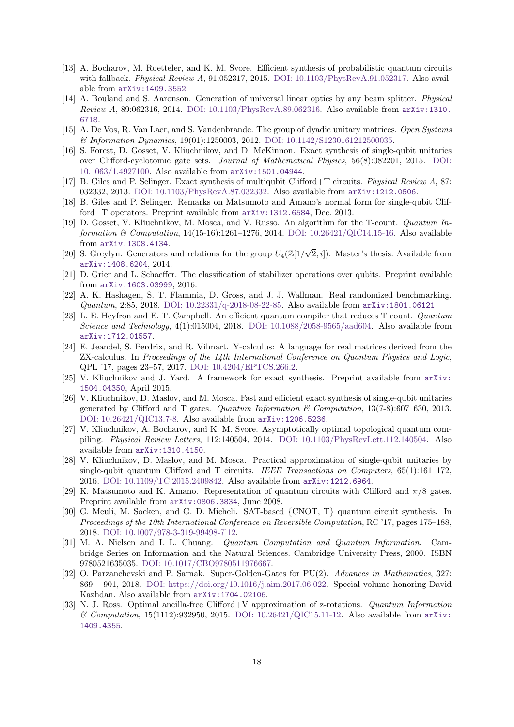- <span id="page-17-2"></span>[13] A. Bocharov, M. Roetteler, and K. M. Svore. Efficient synthesis of probabilistic quantum circuits with fallback. Physical Review A, 91:052317, 2015. [DOI: 10.1103/PhysRevA.91.052317.](https://doi.org/10.1103/PhysRevA.91.052317) Also available from [arXiv:1409.3552](http://arxiv.org/abs/1409.3552).
- <span id="page-17-19"></span>[14] A. Bouland and S. Aaronson. Generation of universal linear optics by any beam splitter. Physical Review A, 89:062316, 2014. [DOI: 10.1103/PhysRevA.89.062316.](https://doi.org/10.1103/PhysRevA.89.062316) Also available from [arXiv:1310.](http://arxiv.org/abs/1310.6718) [6718](http://arxiv.org/abs/1310.6718).
- <span id="page-17-11"></span>[15] A. De Vos, R. Van Laer, and S. Vandenbrande. The group of dyadic unitary matrices. Open Systems & Information Dynamics, 19(01):1250003, 2012. [DOI: 10.1142/S1230161212500035.](https://doi.org/10.1142/S1230161212500035)
- <span id="page-17-6"></span>[16] S. Forest, D. Gosset, V. Kliuchnikov, and D. McKinnon. Exact synthesis of single-qubit unitaries over Clifford-cyclotomic gate sets. Journal of Mathematical Physics, 56(8):082201, 2015. [DOI:](https://doi.org/10.1063/1.4927100) [10.1063/1.4927100.](https://doi.org/10.1063/1.4927100) Also available from [arXiv:1501.04944](http://arxiv.org/abs/1501.04944).
- <span id="page-17-1"></span>[17] B. Giles and P. Selinger. Exact synthesis of multiqubit Clifford+T circuits. Physical Review A, 87: 032332, 2013. [DOI: 10.1103/PhysRevA.87.032332.](https://doi.org/10.1103/PhysRevA.87.032332) Also available from [arXiv:1212.0506](http://arxiv.org/abs/1212.0506).
- <span id="page-17-3"></span>[18] B. Giles and P. Selinger. Remarks on Matsumoto and Amano's normal form for single-qubit Clifford+T operators. Preprint available from [arXiv:1312.6584](http://arxiv.org/abs/1312.6584), Dec. 2013.
- <span id="page-17-12"></span>[19] D. Gosset, V. Kliuchnikov, M. Mosca, and V. Russo. An algorithm for the T-count. Quantum Information  $\&$  Computation, 14(15-16):1261–1276, 2014. [DOI: 10.26421/QIC14.15-16.](https://doi.org/10.26421/QIC14.15-16) Also available from [arXiv:1308.4134](http://arxiv.org/abs/1308.4134).
- <span id="page-17-13"></span>[20] S. Greylyn. Generators and relations for the group  $U_4(\mathbb{Z}[1/\sqrt{2}])$ 2*, i*]). Master's thesis. Available from [arXiv:1408.6204](http://arxiv.org/abs/1408.6204), 2014.
- <span id="page-17-18"></span>[21] D. Grier and L. Schaeffer. The classification of stabilizer operations over qubits. Preprint available from [arXiv:1603.03999](http://arxiv.org/abs/1603.03999), 2016.
- <span id="page-17-16"></span>[22] A. K. Hashagen, S. T. Flammia, D. Gross, and J. J. Wallman. Real randomized benchmarking. Quantum, 2:85, 2018. [DOI: 10.22331/q-2018-08-22-85.](https://doi.org/10.22331/q-2018-08-22-85) Also available from [arXiv:1801.06121](http://arxiv.org/abs/1801.06121).
- <span id="page-17-14"></span>[23] L. E. Heyfron and E. T. Campbell. An efficient quantum compiler that reduces T count. Quantum Science and Technology,  $4(1)$ :015004, 2018. [DOI: 10.1088/2058-9565/aad604.](https://doi.org/10.1088/2058-9565/aad604) Also available from [arXiv:1712.01557](http://arxiv.org/abs/1712.01557).
- <span id="page-17-17"></span>[24] E. Jeandel, S. Perdrix, and R. Vilmart. Y-calculus: A language for real matrices derived from the ZX-calculus. In Proceedings of the 14th International Conference on Quantum Physics and Logic, QPL '17, pages 23–57, 2017. [DOI: 10.4204/EPTCS.266.2.](https://doi.org/10.4204/EPTCS.266.2)
- <span id="page-17-7"></span>[25] V. Kliuchnikov and J. Yard. A framework for exact synthesis. Preprint available from [arXiv:](http://arxiv.org/abs/1504.04350) [1504.04350](http://arxiv.org/abs/1504.04350), April 2015.
- <span id="page-17-0"></span>[26] V. Kliuchnikov, D. Maslov, and M. Mosca. Fast and efficient exact synthesis of single-qubit unitaries generated by Clifford and T gates. Quantum Information  $\mathcal C$  Computation, 13(7-8):607–630, 2013. [DOI: 10.26421/QIC13.7-8.](https://doi.org/10.26421/QIC13.7-8) Also available from [arXiv:1206.5236](http://arxiv.org/abs/1206.5236).
- <span id="page-17-8"></span>[27] V. Kliuchnikov, A. Bocharov, and K. M. Svore. Asymptotically optimal topological quantum compiling. Physical Review Letters, 112:140504, 2014. [DOI: 10.1103/PhysRevLett.112.140504.](https://doi.org/10.1103/PhysRevLett.112.140504) Also available from [arXiv:1310.4150](http://arxiv.org/abs/1310.4150).
- <span id="page-17-4"></span>[28] V. Kliuchnikov, D. Maslov, and M. Mosca. Practical approximation of single-qubit unitaries by single-qubit quantum Clifford and T circuits. IEEE Transactions on Computers, 65(1):161-172, 2016. [DOI: 10.1109/TC.2015.2409842.](https://doi.org/10.1109/TC.2015.2409842) Also available from [arXiv:1212.6964](http://arxiv.org/abs/1212.6964).
- <span id="page-17-5"></span>[29] K. Matsumoto and K. Amano. Representation of quantum circuits with Clifford and *π*/8 gates. Preprint available from [arXiv:0806.3834](http://arxiv.org/abs/0806.3834), June 2008.
- <span id="page-17-15"></span>[30] G. Meuli, M. Soeken, and G. D. Micheli. SAT-based {CNOT, T} quantum circuit synthesis. In Proceedings of the 10th International Conference on Reversible Computation, RC '17, pages 175–188, 2018. [DOI: 10.1007/978-3-319-99498-7˙12.](https://doi.org/10.1007/978-3-319-99498-7_12)
- <span id="page-17-20"></span>[31] M. A. Nielsen and I. L. Chuang. Quantum Computation and Quantum Information. Cambridge Series on Information and the Natural Sciences. Cambridge University Press, 2000. ISBN 9780521635035. [DOI: 10.1017/CBO9780511976667.](https://doi.org/10.1017/CBO9780511976667)
- <span id="page-17-9"></span>[32] O. Parzanchevski and P. Sarnak. Super-Golden-Gates for PU(2). Advances in Mathematics, 327: 869 – 901, 2018. [DOI: https://doi.org/10.1016/j.aim.2017.06.022.](https://doi.org/https://doi.org/10.1016/j.aim.2017.06.022) Special volume honoring David Kazhdan. Also available from [arXiv:1704.02106](http://arxiv.org/abs/1704.02106).
- <span id="page-17-10"></span>[33] N. J. Ross. Optimal ancilla-free Clifford+V approximation of z-rotations. Quantum Information  $\&$  Computation, 15(1112):932950, 2015. [DOI: 10.26421/QIC15.11-12.](https://doi.org/10.26421/QIC15.11-12) Also available from [arXiv:](http://arxiv.org/abs/1409.4355) [1409.4355](http://arxiv.org/abs/1409.4355).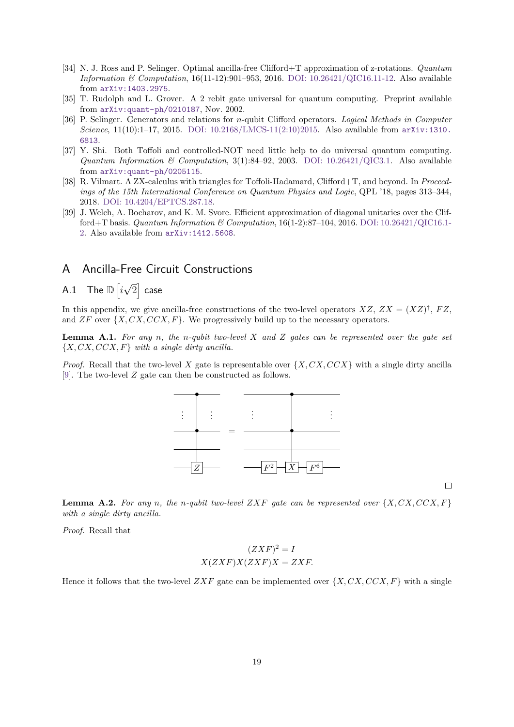- <span id="page-18-0"></span>[34] N. J. Ross and P. Selinger. Optimal ancilla-free Clifford+T approximation of z-rotations. Quantum Information & Computation,  $16(11-12):901-953$ , 2016. DOI:  $10.26421/QIC16.11-12$ . Also available from [arXiv:1403.2975](http://arxiv.org/abs/1403.2975).
- <span id="page-18-4"></span>[35] T. Rudolph and L. Grover. A 2 rebit gate universal for quantum computing. Preprint available from [arXiv:quant-ph/0210187](http://arxiv.org/abs/quant-ph/0210187), Nov. 2002.
- <span id="page-18-2"></span>[36] P. Selinger. Generators and relations for *n*-qubit Clifford operators. Logical Methods in Computer Science, 11(10):1–17, 2015. [DOI: 10.2168/LMCS-11\(2:10\)2015.](https://doi.org/10.2168/LMCS-11(2:10)2015) Also available from [arXiv:1310.](http://arxiv.org/abs/1310.6813) [6813](http://arxiv.org/abs/1310.6813).
- <span id="page-18-3"></span>[37] Y. Shi. Both Toffoli and controlled-NOT need little help to do universal quantum computing. Quantum Information & Computation,  $3(1)$ :84-92, 2003. [DOI: 10.26421/QIC3.1.](https://doi.org/10.26421/QIC3.1) Also available from [arXiv:quant-ph/0205115](http://arxiv.org/abs/quant-ph/0205115).
- <span id="page-18-5"></span>[38] R. Vilmart. A ZX-calculus with triangles for Toffoli-Hadamard, Clifford+T, and beyond. In Proceedings of the 15th International Conference on Quantum Physics and Logic, QPL '18, pages 313–344, 2018. [DOI: 10.4204/EPTCS.287.18.](https://doi.org/10.4204/EPTCS.287.18)
- <span id="page-18-1"></span>[39] J. Welch, A. Bocharov, and K. M. Svore. Efficient approximation of diagonal unitaries over the Clifford+T basis. Quantum Information & Computation,  $16(1-2)$ :87-104, 2016. [DOI: 10.26421/QIC16.1-](https://doi.org/10.26421/QIC16.1-2) [2.](https://doi.org/10.26421/QIC16.1-2) Also available from [arXiv:1412.5608](http://arxiv.org/abs/1412.5608).

## A Ancilla-Free Circuit Constructions

#### <span id="page-18-6"></span> $\mathsf{A.1} \quad \mathsf{The} \ \mathbb{D} \ \bigl[i \bigr]$ √  $\overline{2}]$  case

In this appendix, we give ancilla-free constructions of the two-level operators  $XZ$ ,  $ZX = (XZ)^{\dagger}$ ,  $FZ$ , and *ZF* over  $\{X, CX, CCX, F\}$ . We progressively build up to the necessary operators.

**Lemma A.1.** *For any n, the n-qubit two-level X and Z gates can be represented over the gate set* {*X, CX, CCX, F*} *with a single dirty ancilla.*

*Proof.* Recall that the two-level *X* gate is representable over {*X, CX, CCX*} with a single dirty ancilla [\[9\]](#page-16-9). The two-level *Z* gate can then be constructed as follows.



 $\Box$ 

**Lemma A.2.** For any *n*, the *n*-qubit two-level ZXF gate can be represented over  $\{X, CX, CCX, F\}$ *with a single dirty ancilla.*

*Proof.* Recall that

$$
(ZXF)^{2} = I
$$

$$
X(ZXF)X(ZXF)X = ZXF.
$$

Hence it follows that the two-level  $ZXF$  gate can be implemented over  $\{X, CX, CCX, F\}$  with a single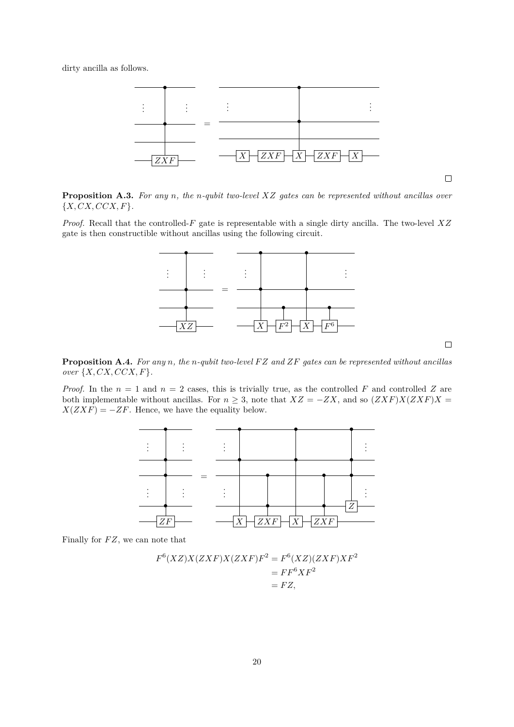dirty ancilla as follows.



 $\Box$ 

**Proposition A.3.** *For any n, the n-qubit two-level XZ gates can be represented without ancillas over* {*X, CX, CCX, F*}*.*

*Proof.* Recall that the controlled-*F* gate is representable with a single dirty ancilla. The two-level *XZ* gate is then constructible without ancillas using the following circuit.



 $\Box$ 

**Proposition A.4.** *For any n, the n-qubit two-level F Z and ZF gates can be represented without ancillas over* {*X, CX, CCX, F*}*.*

*Proof.* In the  $n = 1$  and  $n = 2$  cases, this is trivially true, as the controlled *F* and controlled *Z* are both implementable without ancillas. For  $n \geq 3$ , note that  $XZ = -ZX$ , and so  $(ZXF)X(ZXF)X =$  $X(ZXF) = -ZF$ . Hence, we have the equality below.



Finally for *F Z*, we can note that

$$
F^{6}(XZ)X(ZXF)X(ZXF)F^{2} = F^{6}(XZ)(ZXF)XF^{2}
$$
  
=  $FF^{6}XF^{2}$   
=  $FZ$ ,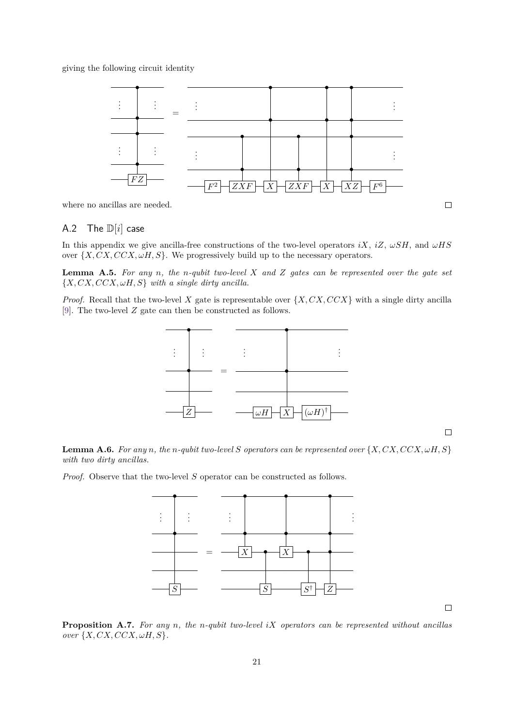giving the following circuit identity



where no ancillas are needed.

## <span id="page-20-0"></span>A.2 The D[*i*] case

In this appendix we give ancilla-free constructions of the two-level operators  $iX$ ,  $iZ$ ,  $\omega SH$ , and  $\omega HS$ over  $\{X, CX, CCX, \omega H, S\}$ . We progressively build up to the necessary operators.

**Lemma A.5.** *For any n, the n-qubit two-level X and Z gates can be represented over the gate set* {*X, CX, CCX, ωH, S*} *with a single dirty ancilla.*

*Proof.* Recall that the two-level *X* gate is representable over  $\{X, CX, CCX\}$  with a single dirty ancilla [\[9\]](#page-16-9). The two-level *Z* gate can then be constructed as follows.



 $\Box$ 

**Lemma A.6.** *For any n*, *the n-qubit two-level S operators can be represented over*  $\{X, CX, CCX, \omega H, S\}$ *with two dirty ancillas.*

*Proof.* Observe that the two-level *S* operator can be constructed as follows.



**Proposition A.7.** *For any n, the n-qubit two-level iX operators can be represented without ancillas*  $over\{X, CX, CCX, \omega H, S\}.$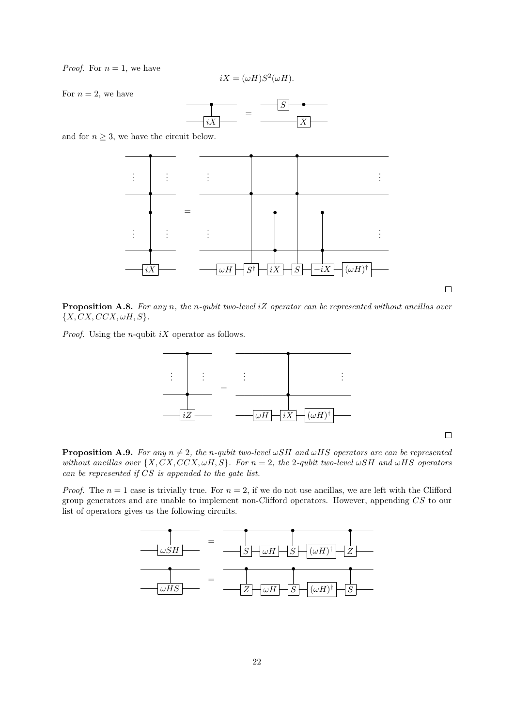*Proof.* For  $n = 1$ , we have

$$
iX = (\omega H)S^2(\omega H).
$$

For  $n=2$ , we have



and for  $n \geq 3$ , we have the circuit below.



**Proposition A.8.** *For any n, the n-qubit two-level iZ operator can be represented without ancillas over*  ${X, CX, CCX, \omega H, S}.$ 

*Proof.* Using the *n*-qubit *iX* operator as follows.



 $\Box$ 

 $\Box$ 

**Proposition A.9.** *For any*  $n \neq 2$ , the *n-qubit two-level*  $\omega SH$  *and*  $\omega HS$  *operators are can be represented without ancillas over*  $\{X, CX, CCX, \omega H, S\}$ *. For*  $n = 2$ *, the* 2*-qubit two-level*  $\omega SH$  *and*  $\omega HS$  *operators can be represented if CS is appended to the gate list.*

*Proof.* The  $n = 1$  case is trivially true. For  $n = 2$ , if we do not use ancillas, we are left with the Clifford group generators and are unable to implement non-Clifford operators. However, appending *CS* to our list of operators gives us the following circuits.